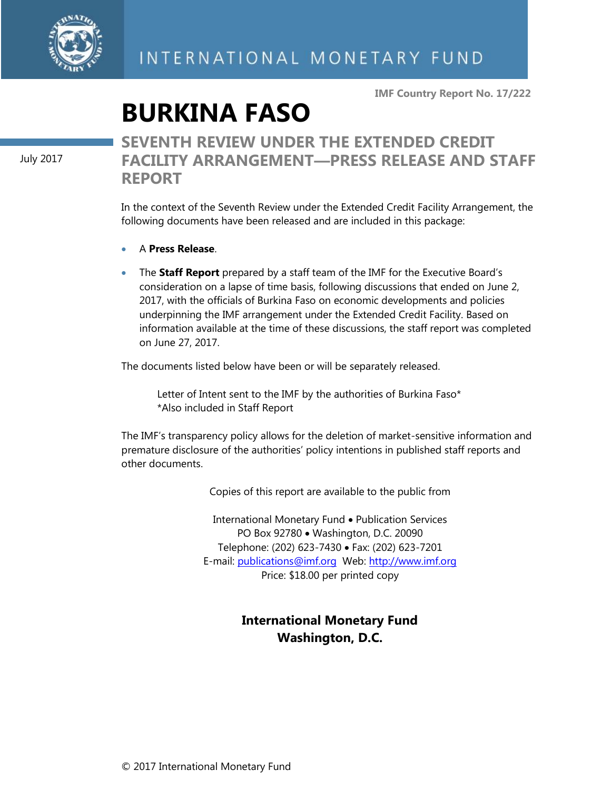

**IMF Country Report No. 17/222**

# **BURKINA FASO**

July 2017

# **SEVENTH REVIEW UNDER THE EXTENDED CREDIT FACILITY ARRANGEMENT—PRESS RELEASE AND STAFF REPORT**

In the context of the Seventh Review under the Extended Credit Facility Arrangement, the following documents have been released and are included in this package:

- A **Press Release**.
- The **Staff Report** prepared by a staff team of the IMF for the Executive Board's consideration on a lapse of time basis, following discussions that ended on June 2, 2017, with the officials of Burkina Faso on economic developments and policies underpinning the IMF arrangement under the Extended Credit Facility. Based on information available at the time of these discussions, the staff report was completed on June 27, 2017.

The documents listed below have been or will be separately released.

Letter of Intent sent to the IMF by the authorities of Burkina Faso\* \*Also included in Staff Report

The IMF's transparency policy allows for the deletion of market-sensitive information and premature disclosure of the authorities' policy intentions in published staff reports and other documents.

Copies of this report are available to the public from

International Monetary Fund • Publication Services PO Box 92780 • Washington, D.C. 20090 Telephone: (202) 623-7430 Fax: (202) 623-7201 E-mail: [publications@imf.org](mailto:publications@imf.org) Web: [http://www.imf.org](http://www.imf.org/) Price: \$18.00 per printed copy

# **International Monetary Fund Washington, D.C.**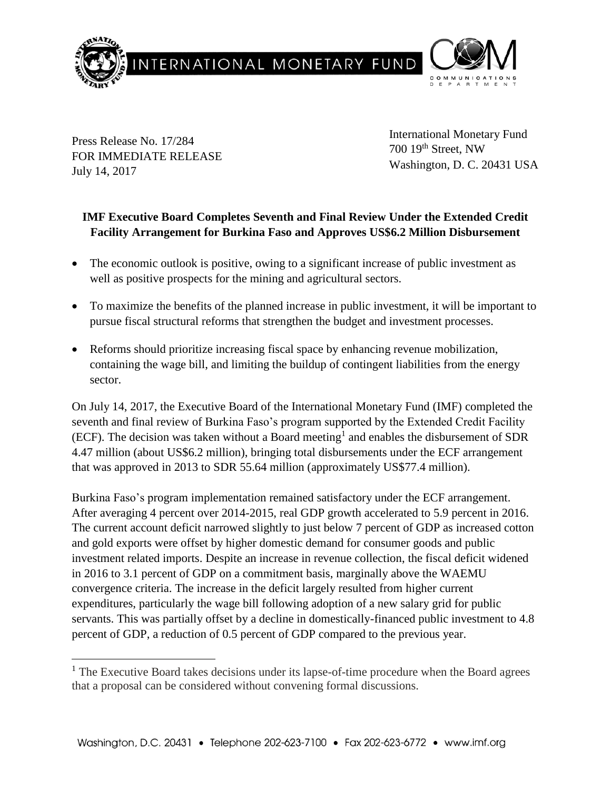

Press Release No. 17/284 FOR IMMEDIATE RELEASE July 14, 2017

 $\overline{a}$ 

International Monetary Fund 700 19th Street, NW Washington, D. C. 20431 USA

# **IMF Executive Board Completes Seventh and Final Review Under the Extended Credit Facility Arrangement for Burkina Faso and Approves US\$6.2 Million Disbursement**

- The economic outlook is positive, owing to a significant increase of public investment as well as positive prospects for the mining and agricultural sectors.
- To maximize the benefits of the planned increase in public investment, it will be important to pursue fiscal structural reforms that strengthen the budget and investment processes.
- Reforms should prioritize increasing fiscal space by enhancing revenue mobilization, containing the wage bill, and limiting the buildup of contingent liabilities from the energy sector.

On July 14, 2017, the Executive Board of the International Monetary Fund (IMF) completed the seventh and final review of Burkina Faso's program supported by the Extended Credit Facility (ECF). The decision was taken without a Board meeting<sup>1</sup> and enables the disbursement of SDR 4.47 million (about US\$6.2 million), bringing total disbursements under the ECF arrangement that was approved in 2013 to SDR 55.64 million (approximately US\$77.4 million).

Burkina Faso's program implementation remained satisfactory under the ECF arrangement. After averaging 4 percent over 2014-2015, real GDP growth accelerated to 5.9 percent in 2016. The current account deficit narrowed slightly to just below 7 percent of GDP as increased cotton and gold exports were offset by higher domestic demand for consumer goods and public investment related imports. Despite an increase in revenue collection, the fiscal deficit widened in 2016 to 3.1 percent of GDP on a commitment basis, marginally above the WAEMU convergence criteria. The increase in the deficit largely resulted from higher current expenditures, particularly the wage bill following adoption of a new salary grid for public servants. This was partially offset by a decline in domestically-financed public investment to 4.8 percent of GDP, a reduction of 0.5 percent of GDP compared to the previous year.

 $<sup>1</sup>$  The Executive Board takes decisions under its lapse-of-time procedure when the Board agrees</sup> that a proposal can be considered without convening formal discussions.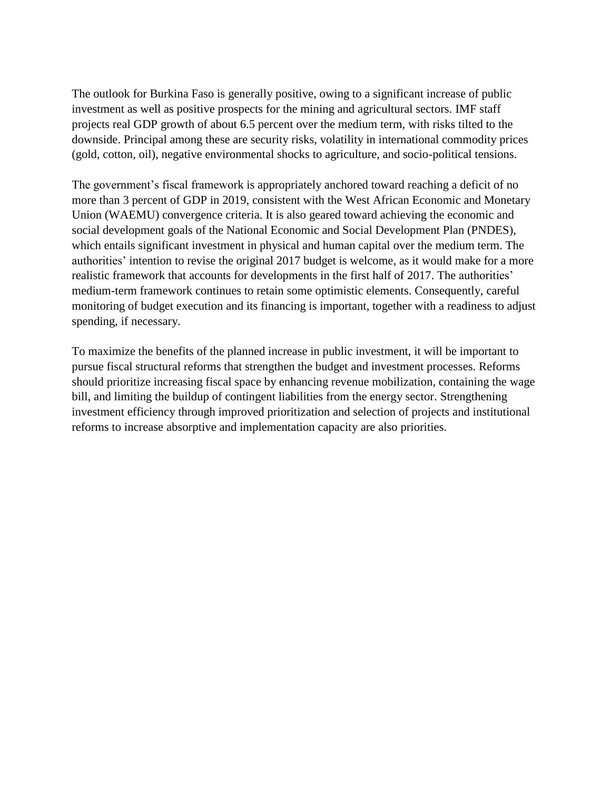The outlook for Burkina Faso is generally positive, owing to a significant increase of public investment as well as positive prospects for the mining and agricultural sectors. IMF staff projects real GDP growth of about 6.5 percent over the medium term, with risks tilted to the downside. Principal among these are security risks, volatility in international commodity prices (gold, cotton, oil), negative environmental shocks to agriculture, and socio-political tensions.

The government's fiscal framework is appropriately anchored toward reaching a deficit of no more than 3 percent of GDP in 2019, consistent with the West African Economic and Monetary Union (WAEMU) convergence criteria. It is also geared toward achieving the economic and social development goals of the National Economic and Social Development Plan (PNDES), which entails significant investment in physical and human capital over the medium term. The authorities' intention to revise the original 2017 budget is welcome, as it would make for a more realistic framework that accounts for developments in the first half of 2017. The authorities' medium-term framework continues to retain some optimistic elements. Consequently, careful monitoring of budget execution and its financing is important, together with a readiness to adjust spending, if necessary.

To maximize the benefits of the planned increase in public investment, it will be important to pursue fiscal structural reforms that strengthen the budget and investment processes. Reforms should prioritize increasing fiscal space by enhancing revenue mobilization, containing the wage bill, and limiting the buildup of contingent liabilities from the energy sector. Strengthening investment efficiency through improved prioritization and selection of projects and institutional reforms to increase absorptive and implementation capacity are also priorities.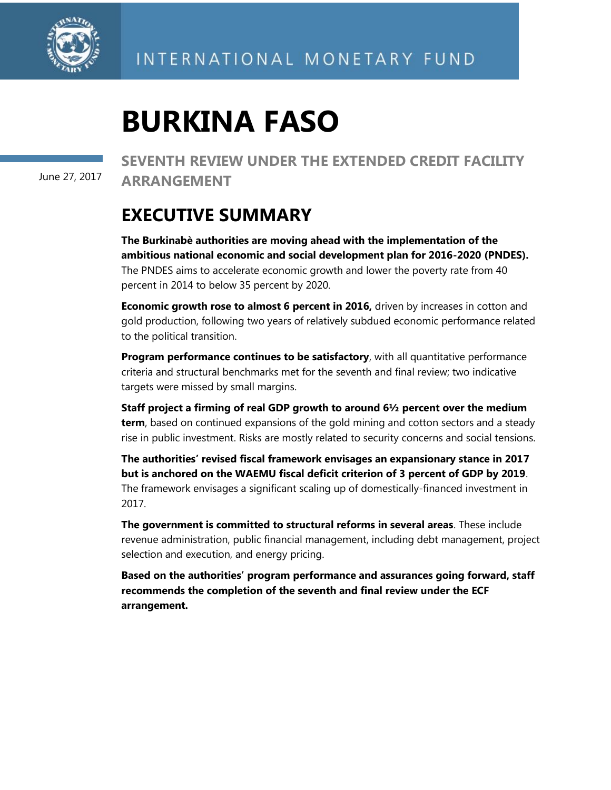

June 27, 2017

**SEVENTH REVIEW UNDER THE EXTENDED CREDIT FACILITY ARRANGEMENT**

# **EXECUTIVE SUMMARY**

**The Burkinabè authorities are moving ahead with the implementation of the ambitious national economic and social development plan for 2016-2020 (PNDES).** The PNDES aims to accelerate economic growth and lower the poverty rate from 40 percent in 2014 to below 35 percent by 2020.

**Economic growth rose to almost 6 percent in 2016,** driven by increases in cotton and gold production, following two years of relatively subdued economic performance related to the political transition.

**Program performance continues to be satisfactory**, with all quantitative performance criteria and structural benchmarks met for the seventh and final review; two indicative targets were missed by small margins.

**Staff project a firming of real GDP growth to around 6½ percent over the medium term**, based on continued expansions of the gold mining and cotton sectors and a steady rise in public investment. Risks are mostly related to security concerns and social tensions.

**The authorities' revised fiscal framework envisages an expansionary stance in 2017 but is anchored on the WAEMU fiscal deficit criterion of 3 percent of GDP by 2019**. The framework envisages a significant scaling up of domestically-financed investment in 2017.

**The government is committed to structural reforms in several areas**. These include revenue administration, public financial management, including debt management, project selection and execution, and energy pricing.

**Based on the authorities' program performance and assurances going forward, staff recommends the completion of the seventh and final review under the ECF arrangement.**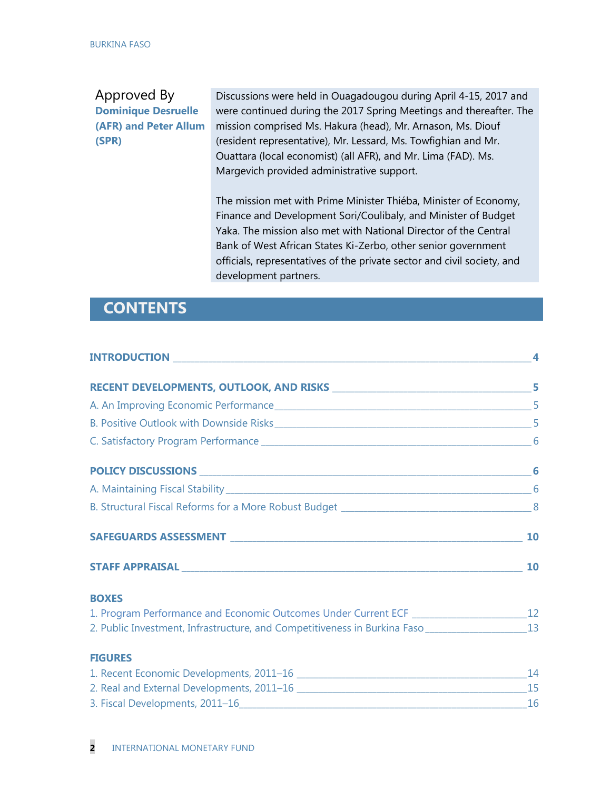# Approved By **Dominique Desruelle (AFR) and Peter Allum (SPR)**

Discussions were held in Ouagadougou during April 4-15, 2017 and were continued during the 2017 Spring Meetings and thereafter. The mission comprised Ms. Hakura (head), Mr. Arnason, Ms. Diouf (resident representative), Mr. Lessard, Ms. Towfighian and Mr. Ouattara (local economist) (all AFR), and Mr. Lima (FAD). Ms. Margevich provided administrative support.

The mission met with Prime Minister Thiéba, Minister of Economy, Finance and Development Sori/Coulibaly, and Minister of Budget Yaka. The mission also met with National Director of the Central Bank of West African States Ki-Zerbo, other senior government officials, representatives of the private sector and civil society, and development partners.

# **CONTENTS**

| <b>BOXES</b>                                                                                           |  |
|--------------------------------------------------------------------------------------------------------|--|
|                                                                                                        |  |
| 2. Public Investment, Infrastructure, and Competitiveness in Burkina Faso __________________________13 |  |
| <b>FIGURES</b>                                                                                         |  |
|                                                                                                        |  |
|                                                                                                        |  |
|                                                                                                        |  |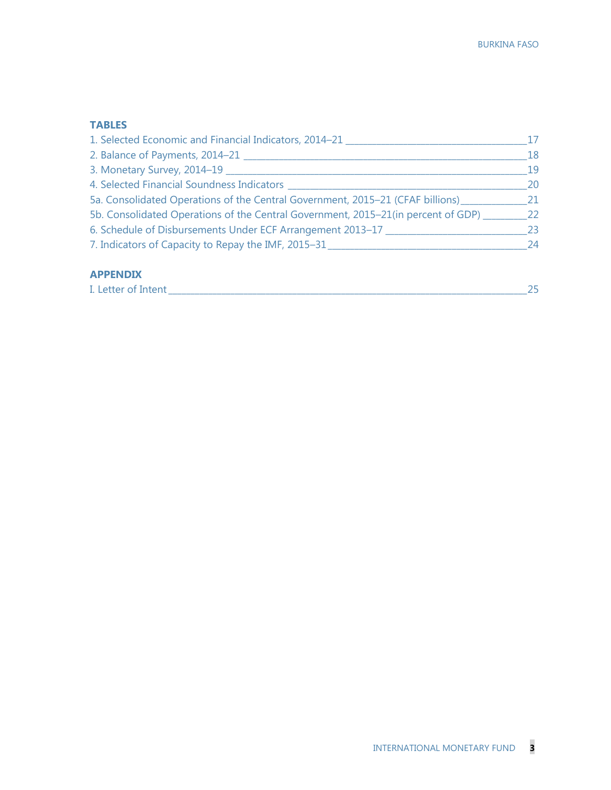## **TABLES**

| 1. Selected Economic and Financial Indicators, 2014-21                            | 17 |
|-----------------------------------------------------------------------------------|----|
| 2. Balance of Payments, 2014-21                                                   | 18 |
| 3. Monetary Survey, 2014-19                                                       | 19 |
| 4. Selected Financial Soundness Indicators ___                                    | 20 |
| 5a. Consolidated Operations of the Central Government, 2015-21 (CFAF billions)    | 21 |
| 5b. Consolidated Operations of the Central Government, 2015-21(in percent of GDP) | 22 |
| 6. Schedule of Disbursements Under ECF Arrangement 2013-17                        | 23 |
| 7. Indicators of Capacity to Repay the IMF, 2015-31                               | 24 |
|                                                                                   |    |

# **APPENDIX**

| I. Letter of Intent |
|---------------------|
|---------------------|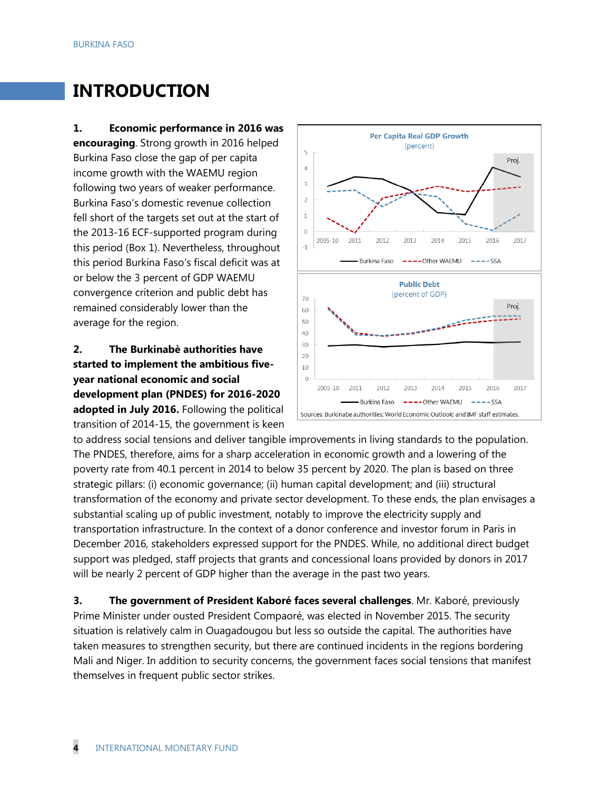# **INTRODUCTION**

**1. Economic performance in 2016 was encouraging**. Strong growth in 2016 helped Burkina Faso close the gap of per capita income growth with the WAEMU region following two years of weaker performance. Burkina Faso's domestic revenue collection fell short of the targets set out at the start of the 2013-16 ECF-supported program during this period (Box 1). Nevertheless, throughout this period Burkina Faso's fiscal deficit was at or below the 3 percent of GDP WAEMU convergence criterion and public debt has remained considerably lower than the average for the region.

# **2. The Burkinabè authorities have started to implement the ambitious fiveyear national economic and social development plan (PNDES) for 2016-2020 adopted in July 2016.** Following the political transition of 2014-15, the government is keen



to address social tensions and deliver tangible improvements in living standards to the population. The PNDES, therefore, aims for a sharp acceleration in economic growth and a lowering of the poverty rate from 40.1 percent in 2014 to below 35 percent by 2020. The plan is based on three strategic pillars: (i) economic governance; (ii) human capital development; and (iii) structural transformation of the economy and private sector development. To these ends, the plan envisages a substantial scaling up of public investment, notably to improve the electricity supply and transportation infrastructure. In the context of a donor conference and investor forum in Paris in December 2016, stakeholders expressed support for the PNDES. While, no additional direct budget support was pledged, staff projects that grants and concessional loans provided by donors in 2017 will be nearly 2 percent of GDP higher than the average in the past two years.

**3. The government of President Kaboré faces several challenges**. Mr. Kaboré, previously Prime Minister under ousted President Compaoré, was elected in November 2015. The security situation is relatively calm in Ouagadougou but less so outside the capital*.* The authorities have taken measures to strengthen security, but there are continued incidents in the regions bordering Mali and Niger. In addition to security concerns, the government faces social tensions that manifest themselves in frequent public sector strikes.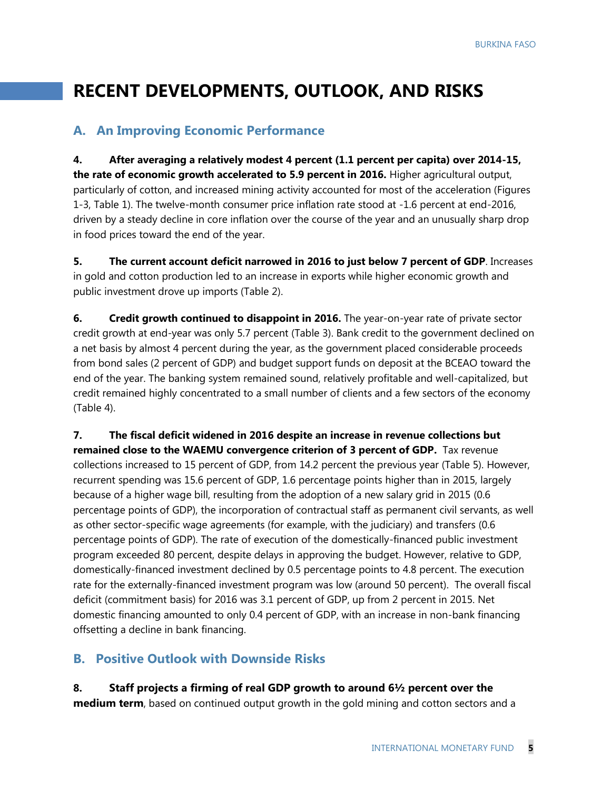# **RECENT DEVELOPMENTS, OUTLOOK, AND RISKS**

# **A. An Improving Economic Performance**

**4. After averaging a relatively modest 4 percent (1.1 percent per capita) over 2014-15, the rate of economic growth accelerated to 5.9 percent in 2016.** Higher agricultural output, particularly of cotton, and increased mining activity accounted for most of the acceleration (Figures 1-3, Table 1). The twelve-month consumer price inflation rate stood at -1.6 percent at end-2016, driven by a steady decline in core inflation over the course of the year and an unusually sharp drop in food prices toward the end of the year.

**5. The current account deficit narrowed in 2016 to just below 7 percent of GDP**. Increases in gold and cotton production led to an increase in exports while higher economic growth and public investment drove up imports (Table 2).

**6.** Credit growth continued to disappoint in 2016. The year-on-year rate of private sector credit growth at end-year was only 5.7 percent (Table 3). Bank credit to the government declined on a net basis by almost 4 percent during the year, as the government placed considerable proceeds from bond sales (2 percent of GDP) and budget support funds on deposit at the BCEAO toward the end of the year. The banking system remained sound, relatively profitable and well-capitalized, but credit remained highly concentrated to a small number of clients and a few sectors of the economy (Table 4).

**7. The fiscal deficit widened in 2016 despite an increase in revenue collections but remained close to the WAEMU convergence criterion of 3 percent of GDP.** Tax revenue collections increased to 15 percent of GDP, from 14.2 percent the previous year (Table 5). However, recurrent spending was 15.6 percent of GDP, 1.6 percentage points higher than in 2015, largely because of a higher wage bill, resulting from the adoption of a new salary grid in 2015 (0.6 percentage points of GDP), the incorporation of contractual staff as permanent civil servants, as well as other sector-specific wage agreements (for example, with the judiciary) and transfers (0.6 percentage points of GDP). The rate of execution of the domestically-financed public investment program exceeded 80 percent, despite delays in approving the budget. However, relative to GDP, domestically-financed investment declined by 0.5 percentage points to 4.8 percent. The execution rate for the externally-financed investment program was low (around 50 percent). The overall fiscal deficit (commitment basis) for 2016 was 3.1 percent of GDP, up from 2 percent in 2015. Net domestic financing amounted to only 0.4 percent of GDP, with an increase in non-bank financing offsetting a decline in bank financing.

# **B. Positive Outlook with Downside Risks**

## **8. Staff projects a firming of real GDP growth to around 6½ percent over the**

**medium term**, based on continued output growth in the gold mining and cotton sectors and a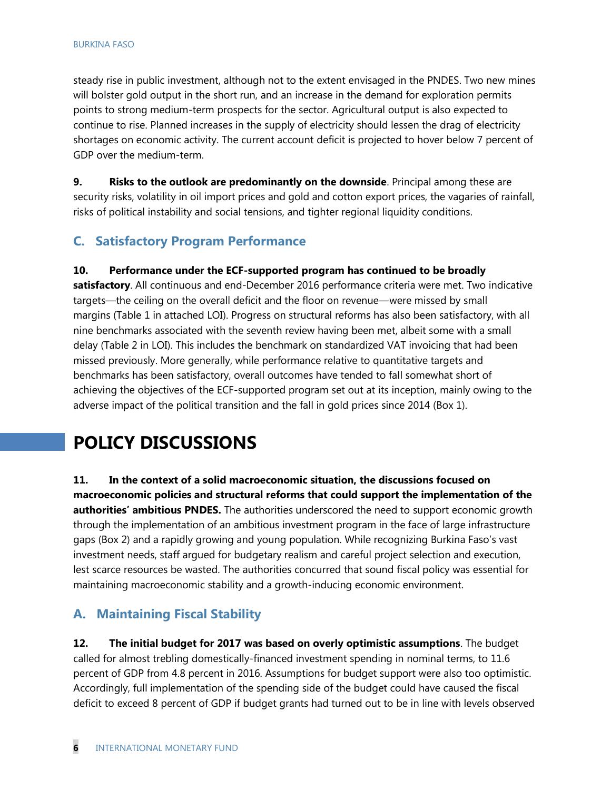steady rise in public investment, although not to the extent envisaged in the PNDES. Two new mines will bolster gold output in the short run, and an increase in the demand for exploration permits points to strong medium-term prospects for the sector. Agricultural output is also expected to continue to rise. Planned increases in the supply of electricity should lessen the drag of electricity shortages on economic activity. The current account deficit is projected to hover below 7 percent of GDP over the medium-term.

**9. Risks to the outlook are predominantly on the downside**. Principal among these are security risks, volatility in oil import prices and gold and cotton export prices, the vagaries of rainfall, risks of political instability and social tensions, and tighter regional liquidity conditions.

# **C. Satisfactory Program Performance**

## **10. Performance under the ECF-supported program has continued to be broadly**

**satisfactory**. All continuous and end-December 2016 performance criteria were met. Two indicative targets—the ceiling on the overall deficit and the floor on revenue—were missed by small margins (Table 1 in attached LOI). Progress on structural reforms has also been satisfactory, with all nine benchmarks associated with the seventh review having been met, albeit some with a small delay (Table 2 in LOI). This includes the benchmark on standardized VAT invoicing that had been missed previously. More generally, while performance relative to quantitative targets and benchmarks has been satisfactory, overall outcomes have tended to fall somewhat short of achieving the objectives of the ECF-supported program set out at its inception, mainly owing to the adverse impact of the political transition and the fall in gold prices since 2014 (Box 1).

# **POLICY DISCUSSIONS**

**11. In the context of a solid macroeconomic situation, the discussions focused on macroeconomic policies and structural reforms that could support the implementation of the authorities' ambitious PNDES.** The authorities underscored the need to support economic growth through the implementation of an ambitious investment program in the face of large infrastructure gaps (Box 2) and a rapidly growing and young population. While recognizing Burkina Faso's vast investment needs, staff argued for budgetary realism and careful project selection and execution, lest scarce resources be wasted. The authorities concurred that sound fiscal policy was essential for maintaining macroeconomic stability and a growth-inducing economic environment.

# **A. Maintaining Fiscal Stability**

**12. The initial budget for 2017 was based on overly optimistic assumptions**. The budget called for almost trebling domestically-financed investment spending in nominal terms, to 11.6 percent of GDP from 4.8 percent in 2016. Assumptions for budget support were also too optimistic. Accordingly, full implementation of the spending side of the budget could have caused the fiscal deficit to exceed 8 percent of GDP if budget grants had turned out to be in line with levels observed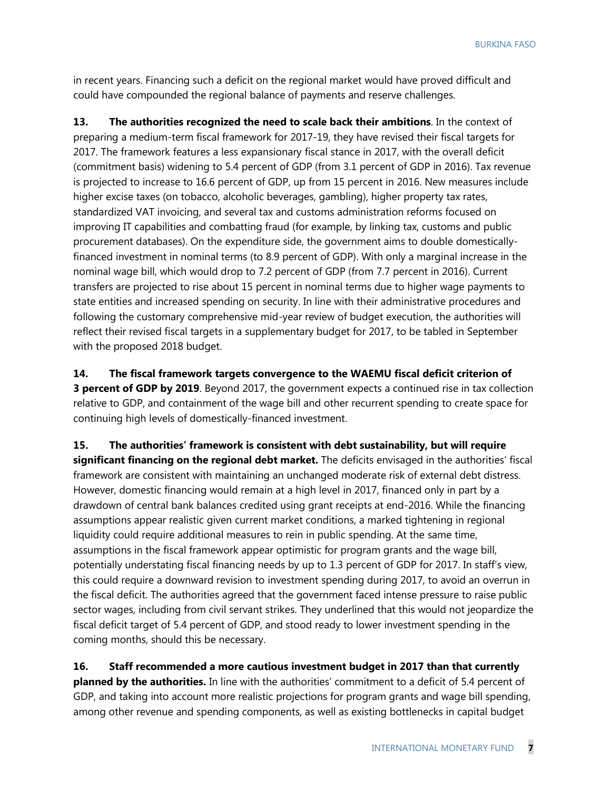in recent years. Financing such a deficit on the regional market would have proved difficult and could have compounded the regional balance of payments and reserve challenges.

**13. The authorities recognized the need to scale back their ambitions**. In the context of preparing a medium-term fiscal framework for 2017-19, they have revised their fiscal targets for 2017. The framework features a less expansionary fiscal stance in 2017, with the overall deficit (commitment basis) widening to 5.4 percent of GDP (from 3.1 percent of GDP in 2016). Tax revenue is projected to increase to 16.6 percent of GDP, up from 15 percent in 2016. New measures include higher excise taxes (on tobacco, alcoholic beverages, gambling), higher property tax rates, standardized VAT invoicing, and several tax and customs administration reforms focused on improving IT capabilities and combatting fraud (for example, by linking tax, customs and public procurement databases). On the expenditure side, the government aims to double domesticallyfinanced investment in nominal terms (to 8.9 percent of GDP). With only a marginal increase in the nominal wage bill, which would drop to 7.2 percent of GDP (from 7.7 percent in 2016). Current transfers are projected to rise about 15 percent in nominal terms due to higher wage payments to state entities and increased spending on security. In line with their administrative procedures and following the customary comprehensive mid-year review of budget execution, the authorities will reflect their revised fiscal targets in a supplementary budget for 2017, to be tabled in September with the proposed 2018 budget.

**14. The fiscal framework targets convergence to the WAEMU fiscal deficit criterion of 3 percent of GDP by 2019**. Beyond 2017, the government expects a continued rise in tax collection relative to GDP, and containment of the wage bill and other recurrent spending to create space for continuing high levels of domestically-financed investment.

**15. The authorities' framework is consistent with debt sustainability, but will require significant financing on the regional debt market.** The deficits envisaged in the authorities' fiscal framework are consistent with maintaining an unchanged moderate risk of external debt distress. However, domestic financing would remain at a high level in 2017, financed only in part by a drawdown of central bank balances credited using grant receipts at end-2016. While the financing assumptions appear realistic given current market conditions, a marked tightening in regional liquidity could require additional measures to rein in public spending. At the same time, assumptions in the fiscal framework appear optimistic for program grants and the wage bill, potentially understating fiscal financing needs by up to 1.3 percent of GDP for 2017. In staff's view, this could require a downward revision to investment spending during 2017, to avoid an overrun in the fiscal deficit. The authorities agreed that the government faced intense pressure to raise public sector wages, including from civil servant strikes. They underlined that this would not jeopardize the fiscal deficit target of 5.4 percent of GDP, and stood ready to lower investment spending in the coming months, should this be necessary.

**16. Staff recommended a more cautious investment budget in 2017 than that currently planned by the authorities.** In line with the authorities' commitment to a deficit of 5.4 percent of GDP, and taking into account more realistic projections for program grants and wage bill spending, among other revenue and spending components, as well as existing bottlenecks in capital budget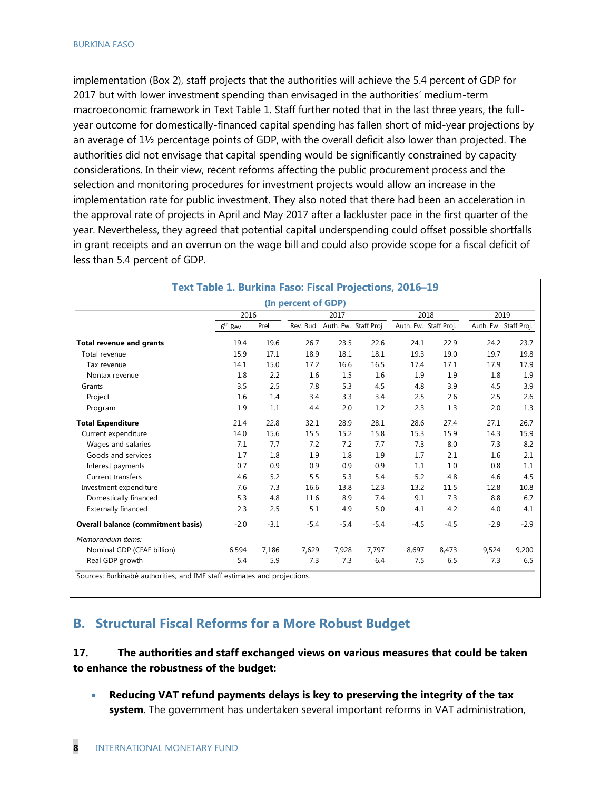implementation (Box 2), staff projects that the authorities will achieve the 5.4 percent of GDP for 2017 but with lower investment spending than envisaged in the authorities' medium-term macroeconomic framework in Text Table 1. Staff further noted that in the last three years, the fullyear outcome for domestically-financed capital spending has fallen short of mid-year projections by an average of 1½ percentage points of GDP, with the overall deficit also lower than projected. The authorities did not envisage that capital spending would be significantly constrained by capacity considerations. In their view, recent reforms affecting the public procurement process and the selection and monitoring procedures for investment projects would allow an increase in the implementation rate for public investment. They also noted that there had been an acceleration in the approval rate of projects in April and May 2017 after a lackluster pace in the first quarter of the year. Nevertheless, they agreed that potential capital underspending could offset possible shortfalls in grant receipts and an overrun on the wage bill and could also provide scope for a fiscal deficit of less than 5.4 percent of GDP.

|                                           |                      |        | (In percent of GDP) |        |                                 |        |                       |        |                       |  |
|-------------------------------------------|----------------------|--------|---------------------|--------|---------------------------------|--------|-----------------------|--------|-----------------------|--|
|                                           | 2016                 |        |                     | 2017   |                                 |        | 2018                  | 2019   |                       |  |
|                                           | $6^{\text{th}}$ Rev. | Prel.  |                     |        | Rev. Bud. Auth. Fw. Staff Proj. |        | Auth. Fw. Staff Proj. |        | Auth. Fw. Staff Proj. |  |
| <b>Total revenue and grants</b>           | 19.4                 | 19.6   | 26.7                | 23.5   | 22.6                            | 24.1   | 22.9                  | 24.2   | 23.7                  |  |
| Total revenue                             | 15.9                 | 17.1   | 18.9                | 18.1   | 18.1                            | 19.3   | 19.0                  | 19.7   | 19.8                  |  |
| Tax revenue                               | 14.1                 | 15.0   | 17.2                | 16.6   | 16.5                            | 17.4   | 17.1                  | 17.9   | 17.9                  |  |
| Nontax revenue                            | 1.8                  | 2.2    | 1.6                 | 1.5    | 1.6                             | 1.9    | 1.9                   | 1.8    | 1.9                   |  |
| Grants                                    | 3.5                  | 2.5    | 7.8                 | 5.3    | 4.5                             | 4.8    | 3.9                   | 4.5    | 3.9                   |  |
| Project                                   | 1.6                  | 1.4    | 3.4                 | 3.3    | 3.4                             | 2.5    | 2.6                   | 2.5    | 2.6                   |  |
| Program                                   | 1.9                  | 1.1    | 4.4                 | 2.0    | 1.2                             | 2.3    | 1.3                   | 2.0    | 1.3                   |  |
| <b>Total Expenditure</b>                  | 21.4                 | 22.8   | 32.1                | 28.9   | 28.1                            | 28.6   | 27.4                  | 27.1   | 26.7                  |  |
| Current expenditure                       | 14.0                 | 15.6   | 15.5                | 15.2   | 15.8                            | 15.3   | 15.9                  | 14.3   | 15.9                  |  |
| Wages and salaries                        | 7.1                  | 7.7    | 7.2                 | 7.2    | 7.7                             | 7.3    | 8.0                   | 7.3    | 8.2                   |  |
| Goods and services                        | 1.7                  | 1.8    | 1.9                 | 1.8    | 1.9                             | 1.7    | 2.1                   | 1.6    | 2.1                   |  |
| Interest payments                         | 0.7                  | 0.9    | 0.9                 | 0.9    | 0.9                             | 1.1    | 1.0                   | 0.8    | 1.1                   |  |
| <b>Current transfers</b>                  | 4.6                  | 5.2    | 5.5                 | 5.3    | 5.4                             | 5.2    | 4.8                   | 4.6    | 4.5                   |  |
| Investment expenditure                    | 7.6                  | 7.3    | 16.6                | 13.8   | 12.3                            | 13.2   | 11.5                  | 12.8   | 10.8                  |  |
| Domestically financed                     | 5.3                  | 4.8    | 11.6                | 8.9    | 7.4                             | 9.1    | 7.3                   | 8.8    | 6.7                   |  |
| <b>Externally financed</b>                | 2.3                  | 2.5    | 5.1                 | 4.9    | 5.0                             | 4.1    | 4.2                   | 4.0    | 4.1                   |  |
| <b>Overall balance (commitment basis)</b> | $-2.0$               | $-3.1$ | $-5.4$              | $-5.4$ | $-5.4$                          | $-4.5$ | $-4.5$                | $-2.9$ | $-2.9$                |  |
| Memorandum items:                         |                      |        |                     |        |                                 |        |                       |        |                       |  |
| Nominal GDP (CFAF billion)                | 6.594                | 7,186  | 7,629               | 7,928  | 7,797                           | 8,697  | 8,473                 | 9,524  | 9,200                 |  |
| Real GDP growth                           | 5.4                  | 5.9    | 7.3                 | 7.3    | 6.4                             | 7.5    | 6.5                   | 7.3    | 6.5                   |  |

# **B. Structural Fiscal Reforms for a More Robust Budget**

## **17. The authorities and staff exchanged views on various measures that could be taken to enhance the robustness of the budget:**

 **Reducing VAT refund payments delays is key to preserving the integrity of the tax system**. The government has undertaken several important reforms in VAT administration,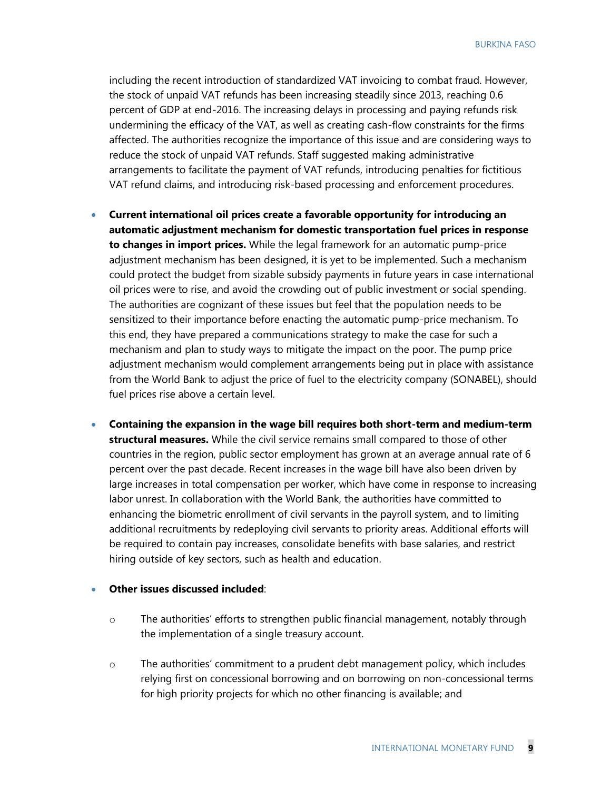including the recent introduction of standardized VAT invoicing to combat fraud. However, the stock of unpaid VAT refunds has been increasing steadily since 2013, reaching 0.6 percent of GDP at end-2016. The increasing delays in processing and paying refunds risk undermining the efficacy of the VAT, as well as creating cash-flow constraints for the firms affected. The authorities recognize the importance of this issue and are considering ways to reduce the stock of unpaid VAT refunds. Staff suggested making administrative arrangements to facilitate the payment of VAT refunds, introducing penalties for fictitious VAT refund claims, and introducing risk-based processing and enforcement procedures.

- **Current international oil prices create a favorable opportunity for introducing an automatic adjustment mechanism for domestic transportation fuel prices in response to changes in import prices.** While the legal framework for an automatic pump-price adjustment mechanism has been designed, it is yet to be implemented. Such a mechanism could protect the budget from sizable subsidy payments in future years in case international oil prices were to rise, and avoid the crowding out of public investment or social spending. The authorities are cognizant of these issues but feel that the population needs to be sensitized to their importance before enacting the automatic pump-price mechanism. To this end, they have prepared a communications strategy to make the case for such a mechanism and plan to study ways to mitigate the impact on the poor. The pump price adjustment mechanism would complement arrangements being put in place with assistance from the World Bank to adjust the price of fuel to the electricity company (SONABEL), should fuel prices rise above a certain level.
- **Containing the expansion in the wage bill requires both short-term and medium-term structural measures.** While the civil service remains small compared to those of other countries in the region, public sector employment has grown at an average annual rate of 6 percent over the past decade. Recent increases in the wage bill have also been driven by large increases in total compensation per worker, which have come in response to increasing labor unrest. In collaboration with the World Bank, the authorities have committed to enhancing the biometric enrollment of civil servants in the payroll system, and to limiting additional recruitments by redeploying civil servants to priority areas. Additional efforts will be required to contain pay increases, consolidate benefits with base salaries, and restrict hiring outside of key sectors, such as health and education.

#### **Other issues discussed included**:

- o The authorities' efforts to strengthen public financial management, notably through the implementation of a single treasury account.
- o The authorities' commitment to a prudent debt management policy, which includes relying first on concessional borrowing and on borrowing on non-concessional terms for high priority projects for which no other financing is available; and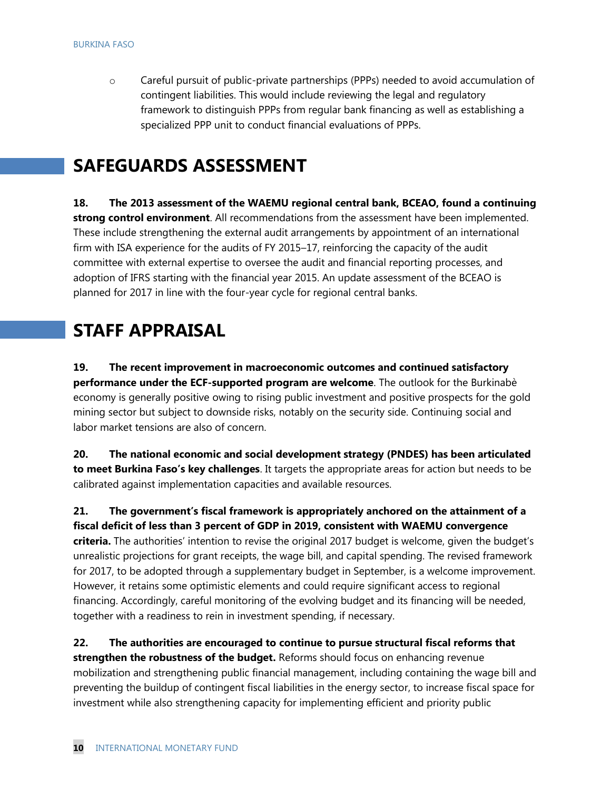o Careful pursuit of public-private partnerships (PPPs) needed to avoid accumulation of contingent liabilities. This would include reviewing the legal and regulatory framework to distinguish PPPs from regular bank financing as well as establishing a specialized PPP unit to conduct financial evaluations of PPPs.

# **SAFEGUARDS ASSESSMENT**

**18. The 2013 assessment of the WAEMU regional central bank, BCEAO, found a continuing strong control environment**. All recommendations from the assessment have been implemented. These include strengthening the external audit arrangements by appointment of an international firm with ISA experience for the audits of FY 2015–17, reinforcing the capacity of the audit committee with external expertise to oversee the audit and financial reporting processes, and adoption of IFRS starting with the financial year 2015. An update assessment of the BCEAO is planned for 2017 in line with the four-year cycle for regional central banks.

# **STAFF APPRAISAL**

**19. The recent improvement in macroeconomic outcomes and continued satisfactory performance under the ECF-supported program are welcome**. The outlook for the Burkinabè economy is generally positive owing to rising public investment and positive prospects for the gold mining sector but subject to downside risks, notably on the security side. Continuing social and labor market tensions are also of concern.

**20. The national economic and social development strategy (PNDES) has been articulated to meet Burkina Faso's key challenges**. It targets the appropriate areas for action but needs to be calibrated against implementation capacities and available resources.

**21. The government's fiscal framework is appropriately anchored on the attainment of a fiscal deficit of less than 3 percent of GDP in 2019, consistent with WAEMU convergence criteria.** The authorities' intention to revise the original 2017 budget is welcome, given the budget's unrealistic projections for grant receipts, the wage bill, and capital spending. The revised framework for 2017, to be adopted through a supplementary budget in September, is a welcome improvement. However, it retains some optimistic elements and could require significant access to regional financing. Accordingly, careful monitoring of the evolving budget and its financing will be needed, together with a readiness to rein in investment spending, if necessary.

**22. The authorities are encouraged to continue to pursue structural fiscal reforms that strengthen the robustness of the budget.** Reforms should focus on enhancing revenue mobilization and strengthening public financial management, including containing the wage bill and preventing the buildup of contingent fiscal liabilities in the energy sector, to increase fiscal space for investment while also strengthening capacity for implementing efficient and priority public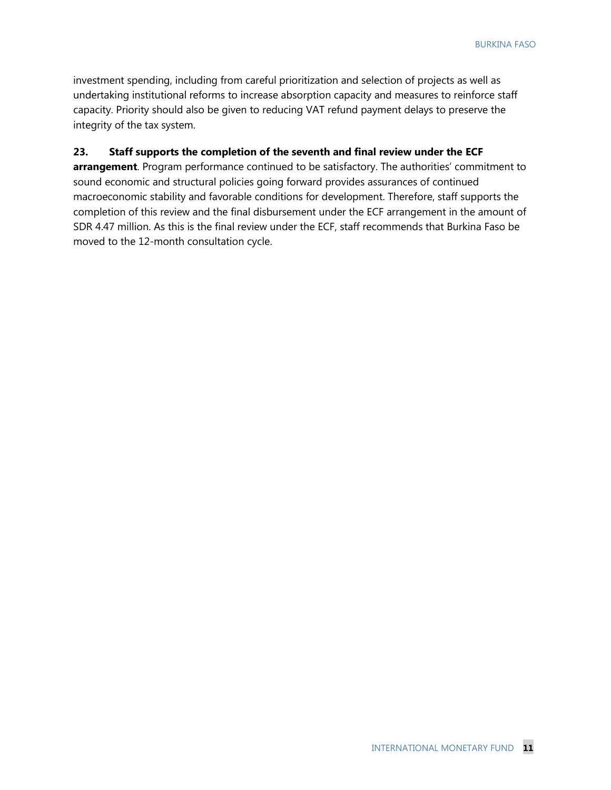investment spending, including from careful prioritization and selection of projects as well as undertaking institutional reforms to increase absorption capacity and measures to reinforce staff capacity. Priority should also be given to reducing VAT refund payment delays to preserve the integrity of the tax system.

### **23. Staff supports the completion of the seventh and final review under the ECF**

**arrangement**. Program performance continued to be satisfactory. The authorities' commitment to sound economic and structural policies going forward provides assurances of continued macroeconomic stability and favorable conditions for development. Therefore, staff supports the completion of this review and the final disbursement under the ECF arrangement in the amount of SDR 4.47 million. As this is the final review under the ECF, staff recommends that Burkina Faso be moved to the 12-month consultation cycle.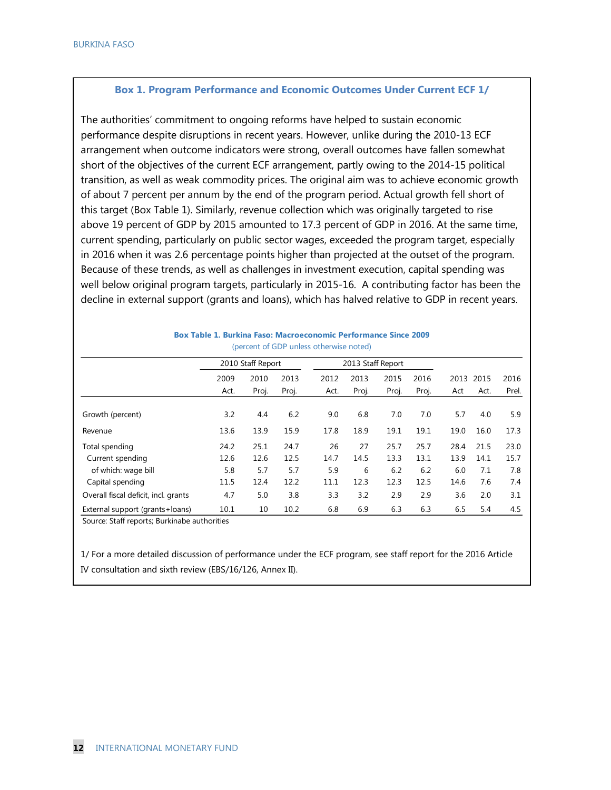### **Box 1. Program Performance and Economic Outcomes Under Current ECF 1/**

The authorities' commitment to ongoing reforms have helped to sustain economic performance despite disruptions in recent years. However, unlike during the 2010-13 ECF arrangement when outcome indicators were strong, overall outcomes have fallen somewhat short of the objectives of the current ECF arrangement, partly owing to the 2014-15 political transition, as well as weak commodity prices. The original aim was to achieve economic growth of about 7 percent per annum by the end of the program period. Actual growth fell short of this target (Box Table 1). Similarly, revenue collection which was originally targeted to rise above 19 percent of GDP by 2015 amounted to 17.3 percent of GDP in 2016. At the same time, current spending, particularly on public sector wages, exceeded the program target, especially in 2016 when it was 2.6 percentage points higher than projected at the outset of the program. Because of these trends, as well as challenges in investment execution, capital spending was well below original program targets, particularly in 2015-16. A contributing factor has been the decline in external support (grants and loans), which has halved relative to GDP in recent years.

|                                      | 2010 Staff Report |       |       |      | 2013 Staff Report |       |       |      |      |       |
|--------------------------------------|-------------------|-------|-------|------|-------------------|-------|-------|------|------|-------|
|                                      | 2009              | 2010  | 2013  | 2012 | 2013              | 2015  | 2016  | 2013 | 2015 | 2016  |
|                                      | Act.              | Proj. | Proj. | Act. | Proj.             | Proj. | Proj. | Act  | Act. | Prel. |
| Growth (percent)                     | 3.2               | 4.4   | 6.2   | 9.0  | 6.8               | 7.0   | 7.0   | 5.7  | 4.0  | 5.9   |
| Revenue                              | 13.6              | 13.9  | 15.9  | 17.8 | 18.9              | 19.1  | 19.1  | 19.0 | 16.0 | 17.3  |
| Total spending                       | 24.2              | 25.1  | 24.7  | 26   | 27                | 25.7  | 25.7  | 28.4 | 21.5 | 23.0  |
| Current spending                     | 12.6              | 12.6  | 12.5  | 14.7 | 14.5              | 13.3  | 13.1  | 13.9 | 14.1 | 15.7  |
| of which: wage bill                  | 5.8               | 5.7   | 5.7   | 5.9  | 6                 | 6.2   | 6.2   | 6.0  | 7.1  | 7.8   |
| Capital spending                     | 11.5              | 12.4  | 12.2  | 11.1 | 12.3              | 12.3  | 12.5  | 14.6 | 7.6  | 7.4   |
| Overall fiscal deficit, incl. grants | 4.7               | 5.0   | 3.8   | 3.3  | 3.2               | 2.9   | 2.9   | 3.6  | 2.0  | 3.1   |
| External support (grants+loans)      | 10.1              | 10    | 10.2  | 6.8  | 6.9               | 6.3   | 6.3   | 6.5  | 5.4  | 4.5   |

**Box Table 1. Burkina Faso: Macroeconomic Performance Since 2009** (percent of GDP unless otherwise noted)

Source: Staff reports; Burkinabe authorities

1/ For a more detailed discussion of performance under the ECF program, see staff report for the 2016 Article IV consultation and sixth review (EBS/16/126, Annex II).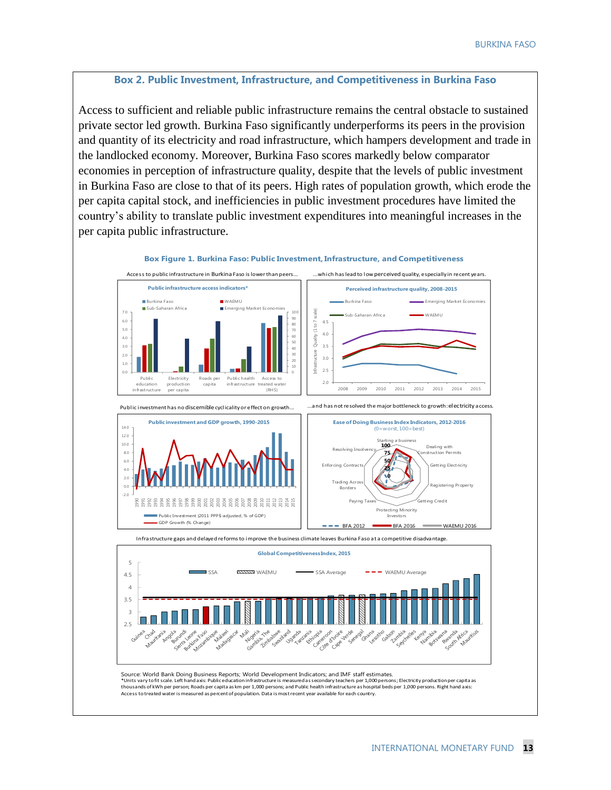#### **Box 2. Public Investment, Infrastructure, and Competitiveness in Burkina Faso**

Access to sufficient and reliable public infrastructure remains the central obstacle to sustained private sector led growth. Burkina Faso significantly underperforms its peers in the provision and quantity of its electricity and road infrastructure, which hampers development and trade in the landlocked economy. Moreover, Burkina Faso scores markedly below comparator economies in perception of infrastructure quality, despite that the levels of public investment in Burkina Faso are close to that of its peers. High rates of population growth, which erode the per capita capital stock, and inefficiencies in public investment procedures have limited the country's ability to translate public investment expenditures into meaningful increases in the per capita public infrastructure.



**Box Figure 1. Burkina Faso: Public Investment, Infrastructure, and Competitiveness**

Source: World Bank Doing Business Reports; World Development Indicators; and IMF staff estimates.

Source: World Bank Doing Business Reports; World Development Indicators; and IMF staff estimates.

\*Units vary to fit scale. Left hand axis: Public education infrastructure is measured as secondary teachers per 1,000 persons; Electricity production per capita as thousands of kWh per person; Roads per capita as km per 1,000 persons; and Public health infrastructure as hospital beds per 1,000 persons. Right hand axis:

Access totreated water is measured as percent of population. Data is most recent year available for each country.

 $2.5$ 3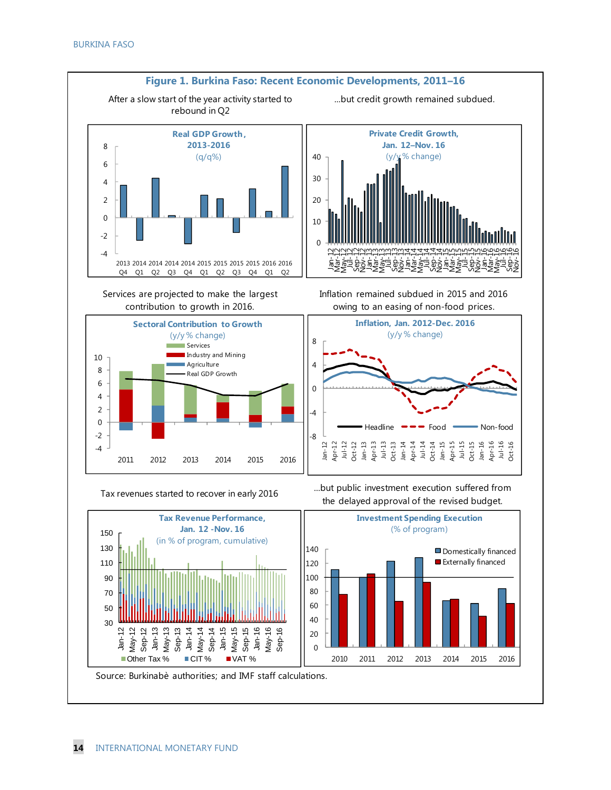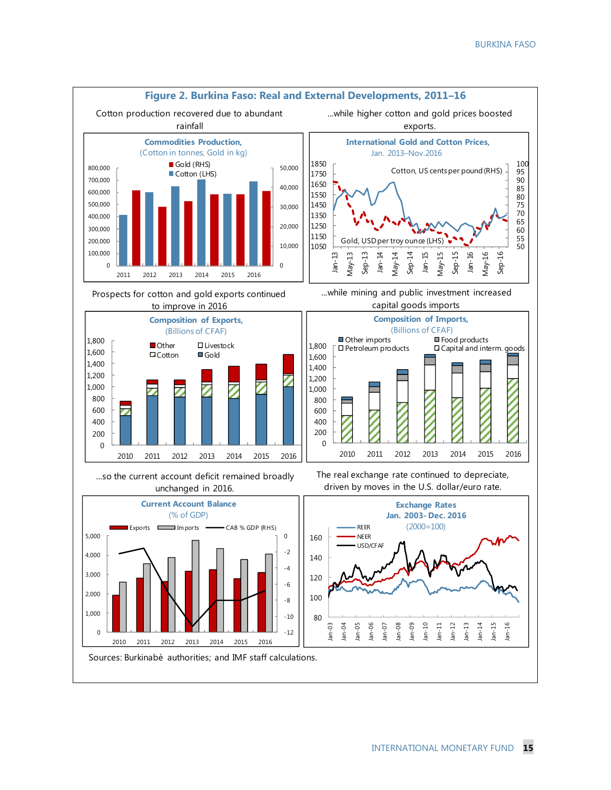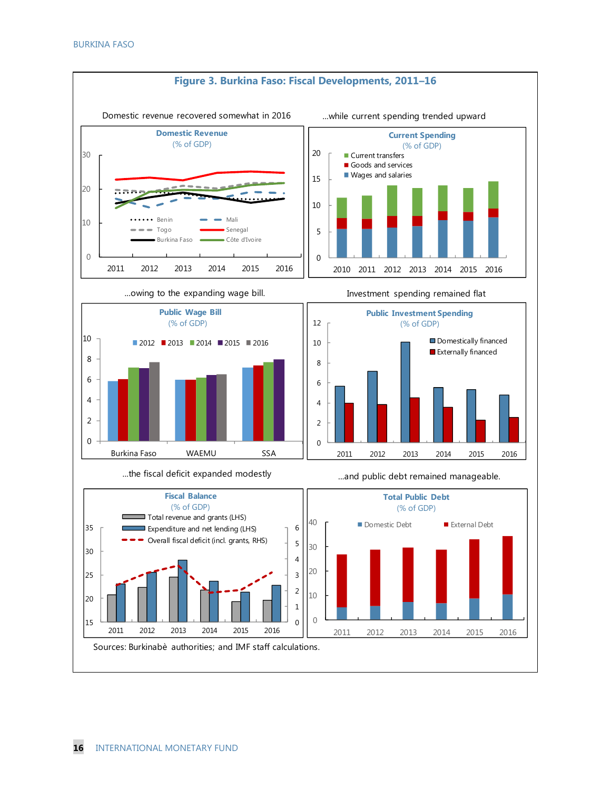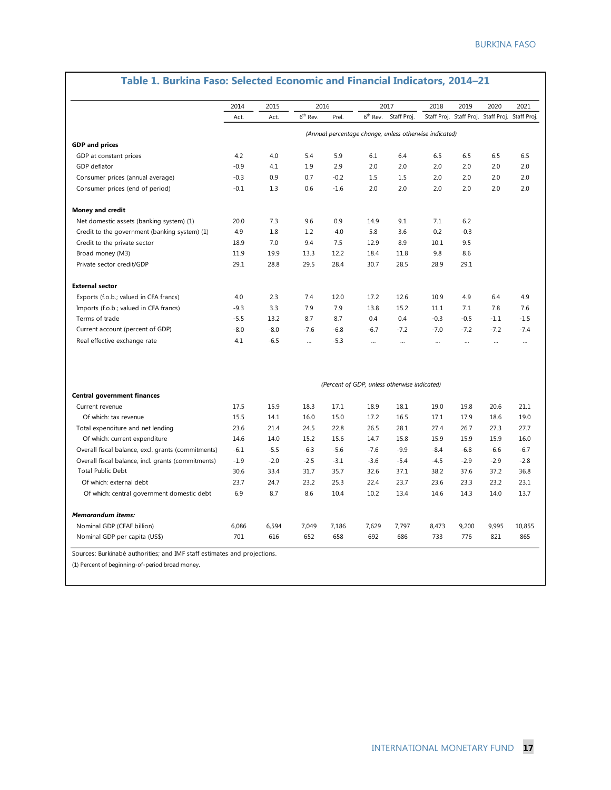|                                                    | 2014   | 2015   | 2016                 |        |            | 2017                                                   | 2018     | 2019                                            | 2020      | 2021     |
|----------------------------------------------------|--------|--------|----------------------|--------|------------|--------------------------------------------------------|----------|-------------------------------------------------|-----------|----------|
|                                                    | Act.   | Act.   | 6 <sup>th</sup> Rev. | Prel.  | $6th$ Rev. | Staff Proj.                                            |          | Staff Proj. Staff Proj. Staff Proj. Staff Proj. |           |          |
|                                                    |        |        |                      |        |            | (Annual percentage change, unless otherwise indicated) |          |                                                 |           |          |
| <b>GDP</b> and prices                              |        |        |                      |        |            |                                                        |          |                                                 |           |          |
| GDP at constant prices                             | 4.2    | 4.0    | 5.4                  | 5.9    | 6.1        | 6.4                                                    | 6.5      | 6.5                                             | 6.5       | 6.5      |
| GDP deflator                                       | $-0.9$ | 4.1    | 1.9                  | 2.9    | 2.0        | 2.0                                                    | 2.0      | 2.0                                             | 2.0       | 2.0      |
| Consumer prices (annual average)                   | $-0.3$ | 0.9    | 0.7                  | $-0.2$ | 1.5        | 1.5                                                    | 2.0      | 2.0                                             | 2.0       | 2.0      |
| Consumer prices (end of period)                    | $-0.1$ | 1.3    | 0.6                  | $-1.6$ | 2.0        | 2.0                                                    | 2.0      | 2.0                                             | 2.0       | 2.0      |
| <b>Money and credit</b>                            |        |        |                      |        |            |                                                        |          |                                                 |           |          |
| Net domestic assets (banking system) (1)           | 20.0   | 7.3    | 9.6                  | 0.9    | 14.9       | 9.1                                                    | 7.1      | 6.2                                             |           |          |
| Credit to the government (banking system) (1)      | 4.9    | 1.8    | 1.2                  | $-4.0$ | 5.8        | 3.6                                                    | 0.2      | $-0.3$                                          |           |          |
| Credit to the private sector                       | 18.9   | 7.0    | 9.4                  | 7.5    | 12.9       | 8.9                                                    | 10.1     | 9.5                                             |           |          |
| Broad money (M3)                                   | 11.9   | 19.9   | 13.3                 | 12.2   | 18.4       | 11.8                                                   | 9.8      | 8.6                                             |           |          |
| Private sector credit/GDP                          | 29.1   | 28.8   | 29.5                 | 28.4   | 30.7       | 28.5                                                   | 28.9     | 29.1                                            |           |          |
| <b>External sector</b>                             |        |        |                      |        |            |                                                        |          |                                                 |           |          |
| Exports (f.o.b.; valued in CFA francs)             | 4.0    | 2.3    | 7.4                  | 12.0   | 17.2       | 12.6                                                   | 10.9     | 4.9                                             | 6.4       | 4.9      |
| Imports (f.o.b.; valued in CFA francs)             | $-9.3$ | 3.3    | 7.9                  | 7.9    | 13.8       | 15.2                                                   | 11.1     | 7.1                                             | 7.8       | 7.6      |
| Terms of trade                                     | $-5.5$ | 13.2   | 8.7                  | 8.7    | 0.4        | 0.4                                                    | $-0.3$   | $-0.5$                                          | $-1.1$    | $-1.5$   |
| Current account (percent of GDP)                   | $-8.0$ | $-8.0$ | $-7.6$               | $-6.8$ | $-6.7$     | $-7.2$                                                 | $-7.0$   | $-7.2$                                          | $-7.2$    | $-7.4$   |
| Real effective exchange rate                       | 4.1    | $-6.5$ | $\ddotsc$            | $-5.3$ | $\cdots$   | $\cdots$                                               | $\cdots$ | $\cdots$                                        | $\ddotsc$ | $\cdots$ |
|                                                    |        |        |                      |        |            | (Percent of GDP, unless otherwise indicated)           |          |                                                 |           |          |
| <b>Central government finances</b>                 |        |        |                      |        |            |                                                        |          |                                                 |           |          |
| Current revenue                                    | 17.5   | 15.9   | 18.3                 | 17.1   | 18.9       | 18.1                                                   | 19.0     | 19.8                                            | 20.6      | 21.1     |
| Of which: tax revenue                              | 15.5   | 14.1   | 16.0                 | 15.0   | 17.2       | 16.5                                                   | 17.1     | 17.9                                            | 18.6      | 19.0     |
| Total expenditure and net lending                  | 23.6   | 21.4   | 24.5                 | 22.8   | 26.5       | 28.1                                                   | 27.4     | 26.7                                            | 27.3      | 27.7     |
| Of which: current expenditure                      | 14.6   | 14.0   | 15.2                 | 15.6   | 14.7       | 15.8                                                   | 15.9     | 15.9                                            | 15.9      | 16.0     |
| Overall fiscal balance, excl. grants (commitments) | $-6.1$ | $-5.5$ | $-6.3$               | $-5.6$ | $-7.6$     | $-9.9$                                                 | $-8.4$   | $-6.8$                                          | $-6.6$    | $-6.7$   |
| Overall fiscal balance, incl. grants (commitments) | $-1.9$ | $-2.0$ | $-2.5$               | $-3.1$ | $-3.6$     | $-5.4$                                                 | $-4.5$   | $-2.9$                                          | $-2.9$    | $-2.8$   |
| <b>Total Public Debt</b>                           | 30.6   | 33.4   | 31.7                 | 35.7   | 32.6       | 37.1                                                   | 38.2     | 37.6                                            | 37.2      | 36.8     |
| Of which: external debt                            | 23.7   | 24.7   | 23.2                 | 25.3   | 22.4       | 23.7                                                   | 23.6     | 23.3                                            | 23.2      | 23.1     |
| Of which: central government domestic debt         | 6.9    | 8.7    | 8.6                  | 10.4   | 10.2       | 13.4                                                   | 14.6     | 14.3                                            | 14.0      | 13.7     |
| <b>Memorandum items:</b>                           |        |        |                      |        |            |                                                        |          |                                                 |           |          |
| Nominal GDP (CFAF billion)                         | 6,086  | 6,594  | 7,049                | 7,186  | 7,629      | 7,797                                                  | 8,473    | 9,200                                           | 9,995     | 10,855   |
| Nominal GDP per capita (US\$)                      | 701    | 616    | 652                  | 658    | 692        | 686                                                    | 733      | 776                                             | 821       | 865      |

# **Table 1. Burkina Faso: Selected Economic and Financial Indicators, 2014–21**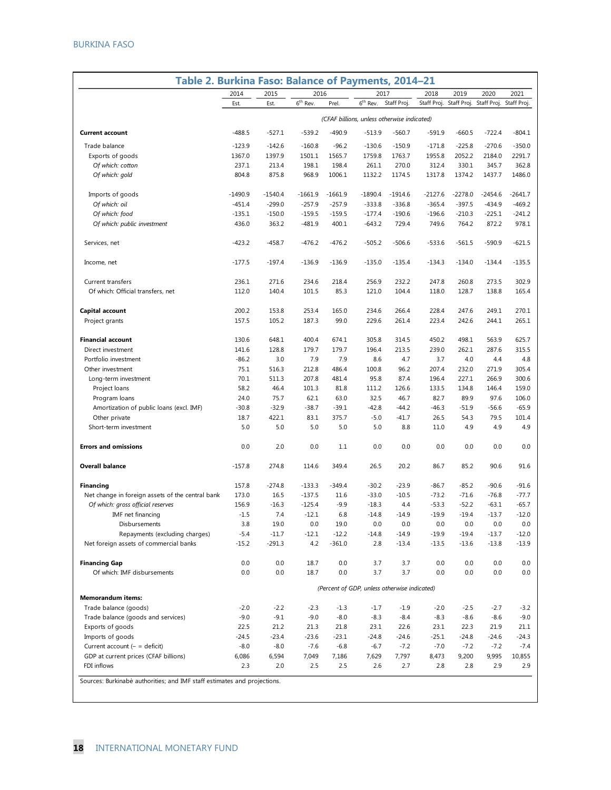| Table 2. Burkina Faso: Balance of Payments, 2014-21 |           |           |            |           |                                              |             |           |                         |             |             |
|-----------------------------------------------------|-----------|-----------|------------|-----------|----------------------------------------------|-------------|-----------|-------------------------|-------------|-------------|
|                                                     | 2014      | 2015      | 2016       |           | 2017                                         |             | 2018      | 2019                    | 2020        | 2021        |
|                                                     | Est.      | Est.      | $6th$ Rev. | Prel.     | $6th$ Rev.                                   | Staff Proj. |           | Staff Proj. Staff Proj. | Staff Proj. | Staff Proj. |
|                                                     |           |           |            |           | (CFAF billions, unless otherwise indicated)  |             |           |                         |             |             |
| <b>Current account</b>                              | $-488.5$  | $-527.1$  | $-539.2$   | $-490.9$  | $-513.9$                                     | $-560.7$    | $-591.9$  | $-660.5$                | $-722.4$    | $-804.1$    |
| Trade balance                                       | $-123.9$  | $-142.6$  | $-160.8$   | $-96.2$   | $-130.6$                                     | $-150.9$    | $-171.8$  | $-225.8$                | $-270.6$    | $-350.0$    |
| Exports of goods                                    | 1367.0    | 1397.9    | 1501.1     | 1565.7    | 1759.8                                       | 1763.7      | 1955.8    | 2052.2                  | 2184.0      | 2291.7      |
| Of which: cotton                                    | 237.1     | 213.4     | 198.1      | 198.4     | 261.1                                        | 270.0       | 312.4     | 330.1                   | 345.7       | 362.8       |
| Of which: gold                                      | 804.8     | 875.8     | 968.9      | 1006.1    | 1132.2                                       | 1174.5      | 1317.8    | 1374.2                  | 1437.7      | 1486.0      |
| Imports of goods                                    | $-1490.9$ | $-1540.4$ | $-1661.9$  | $-1661.9$ | $-1890.4$                                    | $-1914.6$   | $-2127.6$ | $-2278.0$               | $-2454.6$   | $-2641.7$   |
| Of which: oil                                       | $-451.4$  | $-299.0$  | $-257.9$   | $-257.9$  | $-333.8$                                     | $-336.8$    | $-365.4$  | $-397.5$                | $-434.9$    | $-469.2$    |
| Of which: food                                      | $-135.1$  | $-150.0$  | $-159.5$   | $-159.5$  | $-177.4$                                     | $-190.6$    | $-196.6$  | $-210.3$                | $-225.1$    | $-241.2$    |
| Of which: public investment                         | 436.0     | 363.2     | $-481.9$   | 400.1     | $-643.2$                                     | 729.4       | 749.6     | 764.2                   | 872.2       | 978.1       |
| Services, net                                       | $-423.2$  | $-458.7$  | $-476.2$   | $-476.2$  | $-505.2$                                     | $-506.6$    | $-533.6$  | -561.5                  | $-590.9$    | $-621.5$    |
| Income, net                                         | $-177.5$  | $-197.4$  | $-136.9$   | $-136.9$  | $-135.0$                                     | $-135.4$    | $-134.3$  | $-134.0$                | $-134.4$    | $-135.5$    |
| Current transfers                                   | 236.1     | 271.6     | 234.6      | 218.4     | 256.9                                        | 232.2       | 247.8     | 260.8                   | 273.5       | 302.9       |
| Of which: Official transfers, net                   | 112.0     | 140.4     | 101.5      | 85.3      | 121.0                                        | 104.4       | 118.0     | 128.7                   | 138.8       | 165.4       |
| Capital account                                     | 200.2     | 153.8     | 253.4      | 165.0     | 234.6                                        | 266.4       | 228.4     | 247.6                   | 249.1       | 270.1       |
| Project grants                                      | 157.5     | 105.2     | 187.3      | 99.0      | 229.6                                        | 261.4       | 223.4     | 242.6                   | 244.1       | 265.1       |
| <b>Financial account</b>                            | 130.6     | 648.1     | 400.4      | 674.1     | 305.8                                        | 314.5       | 450.2     | 498.1                   | 563.9       | 625.7       |
| Direct investment                                   | 141.6     | 128.8     | 179.7      | 179.7     | 196.4                                        | 213.5       | 239.0     | 262.1                   | 287.6       | 315.5       |
| Portfolio investment                                | $-86.2$   | 3.0       | 7.9        | 7.9       | 8.6                                          | 4.7         | 3.7       | 4.0                     | 4.4         | 4.8         |
| Other investment                                    | 75.1      | 516.3     | 212.8      | 486.4     | 100.8                                        | 96.2        | 207.4     | 232.0                   | 271.9       | 305.4       |
| Long-term investment                                | 70.1      | 511.3     | 207.8      | 481.4     | 95.8                                         | 87.4        | 196.4     | 227.1                   | 266.9       | 300.6       |
| Project loans                                       | 58.2      | 46.4      | 101.3      | 81.8      | 111.2                                        | 126.6       | 133.5     | 134.8                   | 146.4       | 159.0       |
| Program loans                                       | 24.0      | 75.7      | 62.1       | 63.0      | 32.5                                         | 46.7        | 82.7      | 89.9                    | 97.6        | 106.0       |
| Amortization of public loans (excl. IMF)            | $-30.8$   | $-32.9$   | $-38.7$    | $-39.1$   | $-42.8$                                      | $-44.2$     | $-46.3$   | $-51.9$                 | $-56.6$     | $-65.9$     |
| Other private                                       | 18.7      | 422.1     | 83.1       | 375.7     | $-5.0$                                       | $-41.7$     | 26.5      | 54.3                    | 79.5        | 101.4       |
| Short-term investment                               | 5.0       | 5.0       | 5.0        | 5.0       | 5.0                                          | 8.8         | 11.0      | 4.9                     | 4.9         | 4.9         |
| <b>Errors and omissions</b>                         | 0.0       | 2.0       | 0.0        | 1.1       | 0.0                                          | 0.0         | 0.0       | 0.0                     | 0.0         | 0.0         |
| <b>Overall balance</b>                              | $-157.8$  | 274.8     | 114.6      | 349.4     | 26.5                                         | 20.2        | 86.7      | 85.2                    | 90.6        | 91.6        |
| Financing                                           | 157.8     | $-274.8$  | $-133.3$   | $-349.4$  | $-30.2$                                      | $-23.9$     | $-86.7$   | $-85.2$                 | $-90.6$     | $-91.6$     |
| Net change in foreign assets of the central bank    | 173.0     | 16.5      | $-137.5$   | 11.6      | $-33.0$                                      | $-10.5$     | $-73.2$   | $-71.6$                 | $-76.8$     | $-77.7$     |
| Of which: gross official reserves                   | 156.9     | $-16.3$   | $-125.4$   | $-9.9$    | $-18.3$                                      | 4.4         | $-53.3$   | $-52.2$                 | $-63.1$     | $-65.7$     |
| IMF net financing                                   | $-1.5$    | 7.4       | $-12.1$    | 6.8       | $-14.8$                                      | $-14.9$     | $-19.9$   | $-19.4$                 | $-13.7$     | $-12.0$     |
| Disbursements                                       | 3.8       | 19.0      | 0.0        | 19.0      | 0.0                                          | 0.0         | 0.0       | 0.0                     | 0.0         | 0.0         |
| Repayments (excluding charges)                      | $-5.4$    | $-11.7$   | $-12.1$    | $-12.2$   | $-14.8$                                      | $-14.9$     | $-19.9$   | $-19.4$                 | $-13.7$     | $-12.0$     |
| Net foreign assets of commercial banks              | $-15.2$   | $-291.3$  | 4.2        | $-361.0$  | 2.8                                          | $-13.4$     | $-13.5$   | $-13.6$                 | $-13.8$     | $-13.9$     |
| <b>Financing Gap</b>                                | 0.0       | 0.0       | 18.7       | 0.0       | 3.7                                          | 3.7         | 0.0       | 0.0                     | 0.0         | 0.0         |
| Of which: IMF disbursements                         | 0.0       | 0.0       | 18.7       | 0.0       | 3.7                                          | 3.7         | 0.0       | 0.0                     | 0.0         | 0.0         |
| <b>Memorandum items:</b>                            |           |           |            |           | (Percent of GDP, unless otherwise indicated) |             |           |                         |             |             |
| Trade balance (goods)                               | $-2.0$    | $-2.2$    | $-2.3$     | $-1.3$    | $-1.7$                                       | $-1.9$      | $-2.0$    | $-2.5$                  | $-2.7$      | $-3.2$      |
| Trade balance (goods and services)                  | $-9.0$    | $-9.1$    | $-9.0$     | $-8.0$    | $-8.3$                                       | $-8.4$      | $-8.3$    | $-8.6$                  | $-8.6$      | $-9.0$      |
| Exports of goods                                    | 22.5      | 21.2      | 21.3       | 21.8      | 23.1                                         | 22.6        | 23.1      | 22.3                    | 21.9        | 21.1        |
| Imports of goods                                    | -24.5     | $-23.4$   | $-23.6$    | $-23.1$   | $-24.8$                                      | $-24.6$     | $-25.1$   | $-24.8$                 | $-24.6$     | $-24.3$     |
| Current account $(- = \text{deficit})$              | $-8.0$    | $-8.0$    | $-7.6$     | $-6.8$    | $-6.7$                                       | $-7.2$      | $-7.0$    | $-7.2$                  | $-7.2$      | $-7.4$      |
| GDP at current prices (CFAF billions)               | 6,086     | 6,594     | 7,049      | 7,186     | 7,629                                        | 7,797       | 8,473     | 9,200                   | 9,995       | 10,855      |
| FDI inflows                                         | 2.3       | 2.0       | 2.5        | 2.5       | 2.6                                          | 2.7         | 2.8       | 2.8                     | 2.9         | 2.9         |
| rkinahà quthoritioc: and IME ctaff octimate         |           |           |            |           |                                              |             |           |                         |             |             |

urkinabè authorities; and IMF staff estimates and projections.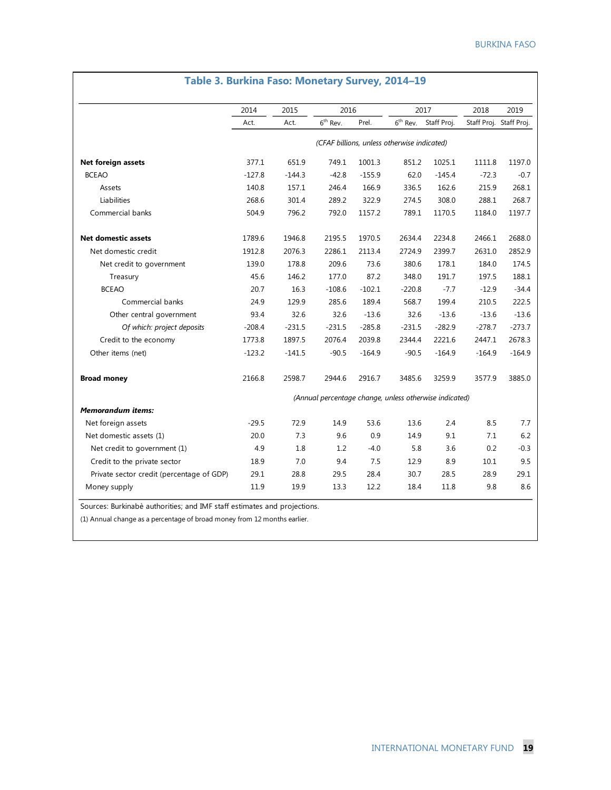٦

|                                           | 2014     | 2015     | 2016                                                   |          |                      | 2017        | 2018                    | 2019     |
|-------------------------------------------|----------|----------|--------------------------------------------------------|----------|----------------------|-------------|-------------------------|----------|
|                                           | Act.     | Act.     | $6th$ Rev.                                             | Prel.    | $6^{\text{th}}$ Rev. | Staff Proj. | Staff Proj. Staff Proj. |          |
|                                           |          |          | (CFAF billions, unless otherwise indicated)            |          |                      |             |                         |          |
| Net foreign assets                        | 377.1    | 651.9    | 749.1                                                  | 1001.3   | 851.2                | 1025.1      | 1111.8                  | 1197.0   |
| <b>BCEAO</b>                              | $-127.8$ | $-144.3$ | $-42.8$                                                | $-155.9$ | 62.0                 | $-145.4$    | $-72.3$                 | $-0.7$   |
| Assets                                    | 140.8    | 157.1    | 246.4                                                  | 166.9    | 336.5                | 162.6       | 215.9                   | 268.1    |
| Liabilities                               | 268.6    | 301.4    | 289.2                                                  | 322.9    | 274.5                | 308.0       | 288.1                   | 268.7    |
| Commercial banks                          | 504.9    | 796.2    | 792.0                                                  | 1157.2   | 789.1                | 1170.5      | 1184.0                  | 1197.7   |
| Net domestic assets                       | 1789.6   | 1946.8   | 2195.5                                                 | 1970.5   | 2634.4               | 2234.8      | 2466.1                  | 2688.0   |
| Net domestic credit                       | 1912.8   | 2076.3   | 2286.1                                                 | 2113.4   | 2724.9               | 2399.7      | 2631.0                  | 2852.9   |
| Net credit to government                  | 139.0    | 178.8    | 209.6                                                  | 73.6     | 380.6                | 178.1       | 184.0                   | 174.5    |
| Treasury                                  | 45.6     | 146.2    | 177.0                                                  | 87.2     | 348.0                | 191.7       | 197.5                   | 188.1    |
| <b>BCEAO</b>                              | 20.7     | 16.3     | $-108.6$                                               | $-102.1$ | $-220.8$             | $-7.7$      | $-12.9$                 | $-34.4$  |
| Commercial banks                          | 24.9     | 129.9    | 285.6                                                  | 189.4    | 568.7                | 199.4       | 210.5                   | 222.5    |
| Other central government                  | 93.4     | 32.6     | 32.6                                                   | $-13.6$  | 32.6                 | $-13.6$     | $-13.6$                 | $-13.6$  |
| Of which: project deposits                | $-208.4$ | $-231.5$ | $-231.5$                                               | $-285.8$ | $-231.5$             | $-282.9$    | $-278.7$                | $-273.7$ |
| Credit to the economy                     | 1773.8   | 1897.5   | 2076.4                                                 | 2039.8   | 2344.4               | 2221.6      | 2447.1                  | 2678.3   |
| Other items (net)                         | $-123.2$ | $-141.5$ | $-90.5$                                                | $-164.9$ | $-90.5$              | $-164.9$    | $-164.9$                | $-164.9$ |
| <b>Broad money</b>                        | 2166.8   | 2598.7   | 2944.6                                                 | 2916.7   | 3485.6               | 3259.9      | 3577.9                  | 3885.0   |
|                                           |          |          | (Annual percentage change, unless otherwise indicated) |          |                      |             |                         |          |
| <b>Memorandum items:</b>                  |          |          |                                                        |          |                      |             |                         |          |
| Net foreign assets                        | $-29.5$  | 72.9     | 14.9                                                   | 53.6     | 13.6                 | 2.4         | 8.5                     | 7.7      |
| Net domestic assets (1)                   | 20.0     | 7.3      | 9.6                                                    | 0.9      | 14.9                 | 9.1         | 7.1                     | 6.2      |
| Net credit to government (1)              | 4.9      | 1.8      | 1.2                                                    | $-4.0$   | 5.8                  | 3.6         | 0.2                     | $-0.3$   |
| Credit to the private sector              | 18.9     | 7.0      | 9.4                                                    | 7.5      | 12.9                 | 8.9         | 10.1                    | 9.5      |
| Private sector credit (percentage of GDP) | 29.1     | 28.8     | 29.5                                                   | 28.4     | 30.7                 | 28.5        | 28.9                    | 29.1     |
| Money supply                              | 11.9     | 19.9     | 13.3                                                   | 12.2     | 18.4                 | 11.8        | 9.8                     | 8.6      |

# **Table 3. Burkina Faso: Monetary Survey, 2014–19**

(1) Annual change as a percentage of broad money from 12 months earlier.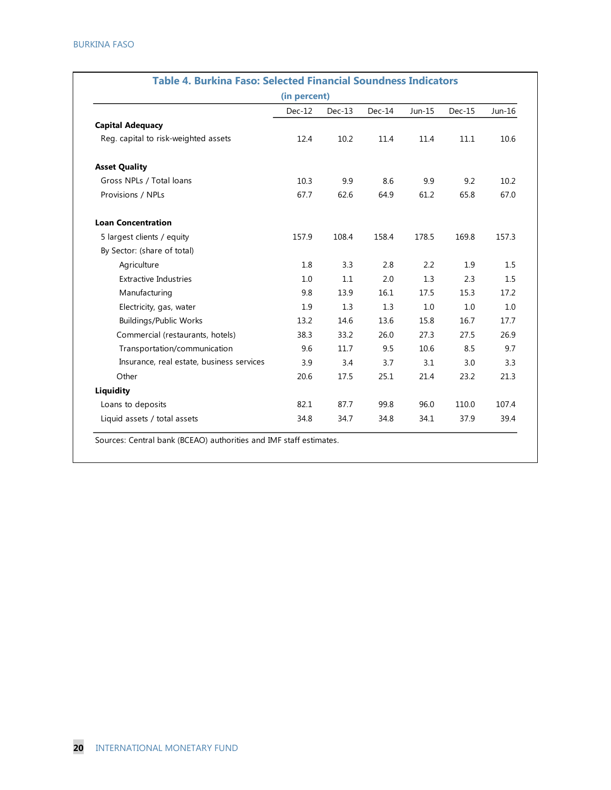|                                           | (in percent) |          |          |        |          |        |
|-------------------------------------------|--------------|----------|----------|--------|----------|--------|
|                                           | $Dec-12$     | $Dec-13$ | $Dec-14$ | Jun-15 | $Dec-15$ | Jun-16 |
| <b>Capital Adequacy</b>                   |              |          |          |        |          |        |
| Reg. capital to risk-weighted assets      | 12.4         | 10.2     | 11.4     | 11.4   | 11.1     | 10.6   |
| <b>Asset Quality</b>                      |              |          |          |        |          |        |
| Gross NPLs / Total loans                  | 10.3         | 9.9      | 8.6      | 9.9    | 9.2      | 10.2   |
| Provisions / NPLs                         | 67.7         | 62.6     | 64.9     | 61.2   | 65.8     | 67.0   |
| <b>Loan Concentration</b>                 |              |          |          |        |          |        |
| 5 largest clients / equity                | 157.9        | 108.4    | 158.4    | 178.5  | 169.8    | 157.3  |
| By Sector: (share of total)               |              |          |          |        |          |        |
| Agriculture                               | 1.8          | 3.3      | 2.8      | 2.2    | 1.9      | 1.5    |
| <b>Extractive Industries</b>              | 1.0          | 1.1      | 2.0      | 1.3    | 2.3      | 1.5    |
| Manufacturing                             | 9.8          | 13.9     | 16.1     | 17.5   | 15.3     | 17.2   |
| Electricity, gas, water                   | 1.9          | 1.3      | 1.3      | 1.0    | 1.0      | 1.0    |
| <b>Buildings/Public Works</b>             | 13.2         | 14.6     | 13.6     | 15.8   | 16.7     | 17.7   |
| Commercial (restaurants, hotels)          | 38.3         | 33.2     | 26.0     | 27.3   | 27.5     | 26.9   |
| Transportation/communication              | 9.6          | 11.7     | 9.5      | 10.6   | 8.5      | 9.7    |
| Insurance, real estate, business services | 3.9          | 3.4      | 3.7      | 3.1    | 3.0      | 3.3    |
| Other                                     | 20.6         | 17.5     | 25.1     | 21.4   | 23.2     | 21.3   |
| Liquidity                                 |              |          |          |        |          |        |
| Loans to deposits                         | 82.1         | 87.7     | 99.8     | 96.0   | 110.0    | 107.4  |
| Liquid assets / total assets              | 34.8         | 34.7     | 34.8     | 34.1   | 37.9     | 39.4   |

Sources: Central bank (BCEAO) authorities and IMF staff estimates.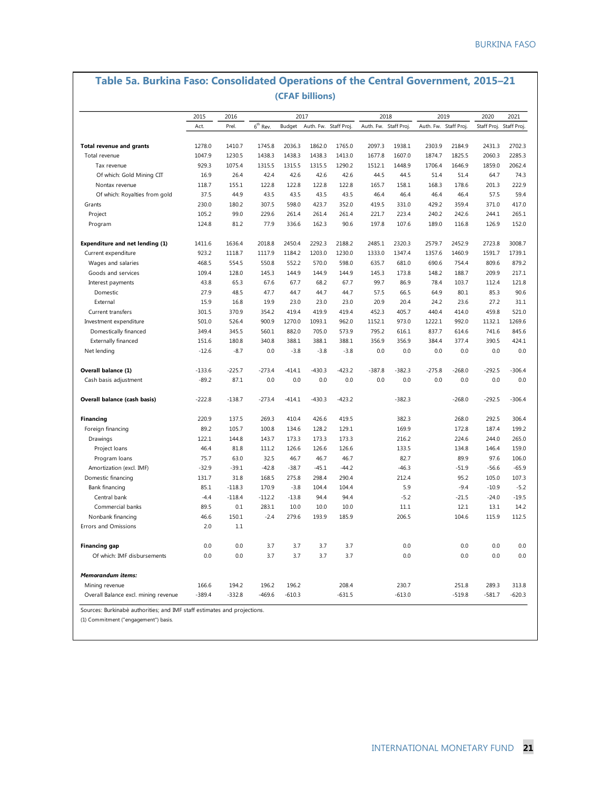|                                 | 2015   | 2016   |            | 2017   |                       |        |                       | 2018   |        | 2019                  | 2020                    | 2021   |
|---------------------------------|--------|--------|------------|--------|-----------------------|--------|-----------------------|--------|--------|-----------------------|-------------------------|--------|
|                                 | Act.   | Prel.  | $6th$ Rev. | Budget | Auth. Fw. Staff Proj. |        | Auth. Fw. Staff Proj. |        |        | Auth. Fw. Staff Proj. | Staff Proj. Staff Proj. |        |
| <b>Total revenue and grants</b> | 1278.0 | 1410.7 | 1745.8     | 2036.3 | 1862.0                | 1765.0 | 2097.3                | 1938.1 | 2303.9 | 2184.9                | 2431.3                  | 2702.3 |
| Total revenue                   | 1047.9 | 1230.5 | 1438.3     | 1438.3 | 1438.3                | 1413.0 | 1677.8                | 1607.0 | 1874.7 | 1825.5                | 2060.3                  | 2285.3 |
| Tax revenue                     | 929.3  | 1075.4 | 1315.5     | 1315.5 | 1315.5                | 1290.2 | 1512.1                | 1448.9 | 1706.4 | 1646.9                | 1859.0                  | 2062.4 |
| Of which: Gold Mining CIT       | 16.9   | 26.4   | 42.4       | 42.6   | 42.6                  | 42.6   | 44.5                  | 44.5   | 51.4   | 51.4                  | 64.7                    | 74.3   |
| Nontax revenue                  | 118.7  | 155.1  | 122.8      | 122.8  | 122.8                 | 122.8  | 165.7                 | 158.1  | 168.3  | 178.6                 | 201.3                   | 222.9  |
| Of which: Royalties from gold   | 37.5   | 44.9   | 43.5       | 43.5   | 43.5                  | 43.5   | 46.4                  | 46.4   | 46.4   | 46.4                  | 57.5                    | 59.4   |
| Grants                          | 230.0  | 180.2  | 307.5      | 598.0  | 423.7                 | 352.0  | 419.5                 | 331.0  | 429.2  | 359.4                 | 371.0                   | 417.0  |
| Project                         | 105.2  | 99.0   | 229.6      | 261.4  | 261.4                 | 261.4  | 221.7                 | 223.4  | 240.2  | 242.6                 | 244.1                   | 265.1  |
| Program                         | 124.8  | 81.2   | 77.9       | 336.6  | 162.3                 | 90.6   | 197.8                 | 107.6  | 189.0  | 116.8                 | 126.9                   | 152.0  |
| Expenditure and net lending (1) | 1411.6 | 1636.4 | 2018.8     | 2450.4 | 2292.3                | 2188.2 | 2485.1                | 2320.3 | 2579.7 | 2452.9                | 2723.8                  | 3008.7 |
| Current expenditure             | 923.2  | 1118.7 | 1117.9     | 1184.2 | 1203.0                | 1230.0 | 1333.0                | 1347.4 | 1357.6 | 1460.9                | 1591.7                  | 1739.1 |
| Wages and salaries              | 468.5  | 554.5  | 550.8      | 552.2  | 570.0                 | 598.0  | 635.7                 | 681.0  | 690.6  | 754.4                 | 809.6                   | 879.2  |

Goods and services 109.4 128.0 145.3 144.9 144.9 144.9 145.3 173.8 148.2 188.7 209.9 217.1 Interest payments 43.8 65.3 67.6 67.7 68.2 67.7 99.7 86.9 78.4 103.7 112.4 121.8 Domestic 27.9 48.5 47.7 44.7 44.7 44.7 57.5 66.5 64.9 80.1 85.3 90.6 External 15.9 16.8 19.9 23.0 23.0 23.0 20.9 20.4 24.2 23.6 27.2 31.1 Current transfers 301.5 370.9 354.2 419.4 419.9 419.4 452.3 405.7 440.4 414.0 459.8 521.0 Investment expenditure 501.0 526.4 900.9 1270.0 1093.1 962.0 1152.1 973.0 1222.1 992.0 1132.1 1269.6 Domestically financed 349.4 345.5 560.1 882.0 705.0 573.9 795.2 616.1 837.7 614.6 741.6 845.6 Externally financed 151.6 180.8 340.8 388.1 388.1 388.1 356.9 356.9 384.4 377.4 390.5 424.1 Net lending 200 12.6 -12.6 -12.6 -3.8 -3.8 -3.8 -3.8 0.0 0.0 0.0 0.0 0.0 0.0 0.0

**Overall balance (1)** -133.6 -225.7 -273.4 -414.1 -430.3 -423.2 -387.8 -382.3 -275.8 -268.0 -292.5 -306.4 Cash basis adjustment -89.2 87.1 0.0 0.0 0.0 0.0 0.0 0.0 0.0 0.0 0.0 0.0

**Overall balance (cash basis)** -222.8 -138.7 -273.4 -414.1 -430.3 -423.2 -382.3 -268.0 -292.5 -306.4

**Financing** 220.9 137.5 269.3 410.4 426.6 419.5 382.3 268.0 292.5 306.4 Poreign financing 172.8 187.4 199.2 105.7 100.8 134.6 128.2 129.1 169.9 172.8 187.4 199.2<br>129.1 144.8 143.7 173.3 173.3 173.3 216.2 224.6 244.0 265.0 Prawings 122.1 144.8 143.7 173.3 173.3 173.3 216.2 224.6 244.0 265.0<br>Project loans 46.4 81.8 111.2 126.6 126.6 126.6 133.5 134.8 146.4 159.0 Project loans 146.4 81.8 111.2 126.6 126.6 126.6 133.5 134.8 146.4 159.0 Program loans 63.7 5.7 63.0 32.5 46.7 46.7 46.7 82.7 89.9 97.6 106.0 Amortization (excl. IMF) -32.9 -39.1 -42.8 -38.7 -45.1 -44.2 -46.3 -51.9 -56.6 -65.9 Domestic financing 131.7 31.8 168.5 275.8 298.4 290.4 212.4 95.2 105.0 107.3 Bank financing 85.1 -118.3 170.9 -3.8 104.4 104.4 5.9 -9.4 -10.9 -5.2 Central bank -4.4 -118.4 -112.2 -13.8 94.4 94.4 -5.2 -21.5 -24.0 -19.5 Commercial banks 89.5 0.1 283.1 10.0 10.0 10.0 11.1 12.1 13.1 14.2 Nonbank financing 46.6 150.1 -2.4 279.6 193.9 185.9 206.5 104.6 115.9 112.5

**Financing gap** 0.0 0.0 3.7 3.7 3.7 3.7 0.0 0.0 0.0 0.0 Of which: IMF disbursements 0.0 0.0 3.7 3.7 3.7 3.7 0.0 0.0 0.0 0.0

Mining revenue 166.6 194.2 196.2 196.2 208.4 230.7 251.8 289.3 313.8 Overall Balance excl. mining revenue -389.4 -332.8 -469.6 -610.3 -631.5 -613.0 -519.8 -581.7 -620.3

# **Table 5a. Burkina Faso: Consolidated Operations of the Central Government, 2015–21**

INTERNATIONAL MONETARY FUND **21**

(1) Commitment ("engagement") basis.

*Memorandum items:*

Errors and Omissions 2.0 2.0 1.1

Sources: Burkinabè authorities; and IMF staff estimates and projections.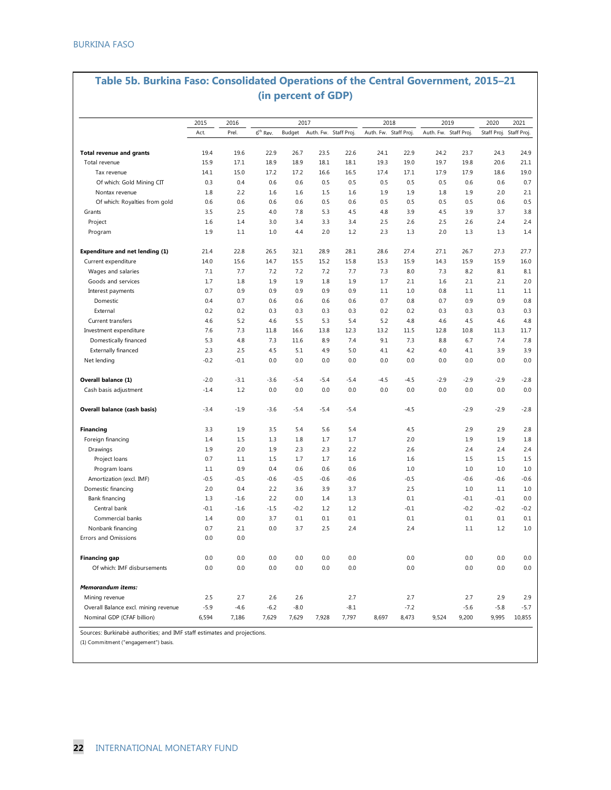# **Table 5b. Burkina Faso: Consolidated Operations of the Central Government, 2015–21 (in percent of GDP)**

|                                      | 2015   | 2016   |                      |        | 2017   |                       |        | 2018                  |        | 2019                  | 2020                    | 2021   |
|--------------------------------------|--------|--------|----------------------|--------|--------|-----------------------|--------|-----------------------|--------|-----------------------|-------------------------|--------|
|                                      | Act.   | Prel.  | 6 <sup>th</sup> Rev. | Budget |        | Auth. Fw. Staff Proj. |        | Auth. Fw. Staff Proj. |        | Auth. Fw. Staff Proj. | Staff Proj. Staff Proj. |        |
| <b>Total revenue and grants</b>      | 19.4   | 19.6   | 22.9                 | 26.7   | 23.5   | 22.6                  | 24.1   | 22.9                  | 24.2   | 23.7                  | 24.3                    | 24.9   |
| Total revenue                        | 15.9   | 17.1   | 18.9                 | 18.9   | 18.1   | 18.1                  | 19.3   | 19.0                  | 19.7   | 19.8                  | 20.6                    | 21.1   |
| Tax revenue                          | 14.1   | 15.0   | 17.2                 | 17.2   | 16.6   | 16.5                  | 17.4   | 17.1                  | 17.9   | 17.9                  | 18.6                    | 19.0   |
| Of which: Gold Mining CIT            | 0.3    | 0.4    | 0.6                  | 0.6    | 0.5    | 0.5                   | 0.5    | 0.5                   | 0.5    | 0.6                   | 0.6                     | 0.7    |
| Nontax revenue                       | 1.8    | 2.2    | 1.6                  | 1.6    | 1.5    | 1.6                   | 1.9    | 1.9                   | 1.8    | 1.9                   | 2.0                     | 2.1    |
| Of which: Royalties from gold        | 0.6    | 0.6    | 0.6                  | 0.6    | 0.5    | 0.6                   | 0.5    | 0.5                   | 0.5    | 0.5                   | 0.6                     | 0.5    |
| Grants                               | 3.5    | 2.5    | 4.0                  | 7.8    | 5.3    | 4.5                   | 4.8    | 3.9                   | 4.5    | 3.9                   | 3.7                     | 3.8    |
| Project                              | 1.6    | 1.4    | 3.0                  | 3.4    | 3.3    | 3.4                   | 2.5    | 2.6                   | 2.5    | 2.6                   | 2.4                     | 2.4    |
| Program                              | 1.9    | 1.1    | 1.0                  | 4.4    | 2.0    | 1.2                   | 2.3    | 1.3                   | 2.0    | 1.3                   | 1.3                     | 1.4    |
| Expenditure and net lending (1)      | 21.4   | 22.8   | 26.5                 | 32.1   | 28.9   | 28.1                  | 28.6   | 27.4                  | 27.1   | 26.7                  | 27.3                    | 27.7   |
| Current expenditure                  | 14.0   | 15.6   | 14.7                 | 15.5   | 15.2   | 15.8                  | 15.3   | 15.9                  | 14.3   | 15.9                  | 15.9                    | 16.0   |
| Wages and salaries                   | 7.1    | 7.7    | 7.2                  | 7.2    | 7.2    | 7.7                   | 7.3    | 8.0                   | 7.3    | 8.2                   | 8.1                     | 8.1    |
| Goods and services                   | 1.7    | 1.8    | 1.9                  | 1.9    | 1.8    | 1.9                   | 1.7    | 2.1                   | 1.6    | 2.1                   | 2.1                     | 2.0    |
| Interest payments                    | 0.7    | 0.9    | 0.9                  | 0.9    | 0.9    | 0.9                   | 1.1    | 1.0                   | 0.8    | 1.1                   | 1.1                     | 1.1    |
| Domestic                             | 0.4    | 0.7    | 0.6                  | 0.6    | 0.6    | 0.6                   | 0.7    | 0.8                   | 0.7    | 0.9                   | 0.9                     | 0.8    |
| External                             | 0.2    | 0.2    | 0.3                  | 0.3    | 0.3    | 0.3                   | 0.2    | 0.2                   | 0.3    | 0.3                   | 0.3                     | 0.3    |
| Current transfers                    | 4.6    | 5.2    | 4.6                  | 5.5    | 5.3    | 5.4                   | 5.2    | 4.8                   | 4.6    | 4.5                   | 4.6                     | 4.8    |
| Investment expenditure               | 7.6    | 7.3    | 11.8                 | 16.6   | 13.8   | 12.3                  | 13.2   | 11.5                  | 12.8   | 10.8                  | 11.3                    | 11.7   |
| Domestically financed                | 5.3    | 4.8    | 7.3                  | 11.6   | 8.9    | 7.4                   | 9.1    | 7.3                   | 8.8    | 6.7                   | 7.4                     | 7.8    |
| <b>Externally financed</b>           | 2.3    | 2.5    | 4.5                  | 5.1    | 4.9    | 5.0                   | 4.1    | 4.2                   | 4.0    | 4.1                   | 3.9                     | 3.9    |
| Net lending                          | $-0.2$ | $-0.1$ | 0.0                  | 0.0    | 0.0    | 0.0                   | 0.0    | 0.0                   | 0.0    | 0.0                   | 0.0                     | 0.0    |
| Overall balance (1)                  | $-2.0$ | $-3.1$ | $-3.6$               | $-5.4$ | $-5.4$ | $-5.4$                | $-4.5$ | $-4.5$                | $-2.9$ | -2.9                  | $-2.9$                  | $-2.8$ |
| Cash basis adjustment                | $-1.4$ | 1.2    | 0.0                  | 0.0    | 0.0    | 0.0                   | 0.0    | 0.0                   | 0.0    | 0.0                   | 0.0                     | 0.0    |
| Overall balance (cash basis)         | $-3.4$ | $-1.9$ | $-3.6$               | $-5.4$ | $-5.4$ | $-5.4$                |        | $-4.5$                |        | $-2.9$                | $-2.9$                  | $-2.8$ |
| <b>Financing</b>                     | 3.3    | 1.9    | 3.5                  | 5.4    | 5.6    | 5.4                   |        | 4.5                   |        | 2.9                   | 2.9                     | 2.8    |
| Foreign financing                    | 1.4    | 1.5    | 1.3                  | 1.8    | 1.7    | 1.7                   |        | 2.0                   |        | 1.9                   | 1.9                     | 1.8    |
| Drawings                             | 1.9    | 2.0    | 1.9                  | 2.3    | 2.3    | 2.2                   |        | 2.6                   |        | 2.4                   | 2.4                     | 2.4    |
| Project loans                        | 0.7    | 1.1    | 1.5                  | 1.7    | 1.7    | 1.6                   |        | 1.6                   |        | 1.5                   | 1.5                     | 1.5    |
| Program loans                        | 1.1    | 0.9    | 0.4                  | 0.6    | 0.6    | 0.6                   |        | 1.0                   |        | 1.0                   | 1.0                     | 1.0    |
| Amortization (excl. IMF)             | $-0.5$ | $-0.5$ | $-0.6$               | $-0.5$ | $-0.6$ | $-0.6$                |        | $-0.5$                |        | $-0.6$                | $-0.6$                  | $-0.6$ |
| Domestic financing                   | 2.0    | 0.4    | 2.2                  | 3.6    | 3.9    | 3.7                   |        | 2.5                   |        | 1.0                   | 1.1                     | 1.0    |
| Bank financing                       | 1.3    | $-1.6$ | 2.2                  | 0.0    | 1.4    | 1.3                   |        | 0.1                   |        | $-0.1$                | $-0.1$                  | 0.0    |
| Central bank                         | $-0.1$ | $-1.6$ | $-1.5$               | $-0.2$ | 1.2    | 1.2                   |        | $-0.1$                |        | $-0.2$                | $-0.2$                  | $-0.2$ |
| Commercial banks                     | 1.4    | 0.0    | 3.7                  | 0.1    | 0.1    | 0.1                   |        | 0.1                   |        | 0.1                   | 0.1                     | 0.1    |
| Nonbank financing                    | 0.7    | 2.1    | 0.0                  | 3.7    | 2.5    | 2.4                   |        | 2.4                   |        | 1.1                   | 1.2                     | 1.0    |
| Errors and Omissions                 | 0.0    | 0.0    |                      |        |        |                       |        |                       |        |                       |                         |        |
| Financing gap                        | 0.0    | 0.0    | 0.0                  | 0.0    | 0.0    | 0.0                   |        | 0.0                   |        | 0.0                   | 0.0                     | 0.0    |
| Of which: IMF disbursements          | 0.0    | 0.0    | 0.0                  | 0.0    | 0.0    | 0.0                   |        | 0.0                   |        | 0.0                   | 0.0                     | 0.0    |
| Memorandum items:                    |        |        |                      |        |        |                       |        |                       |        |                       |                         |        |
| Mining revenue                       | 2.5    | 2.7    | 2.6                  | 2.6    |        | 2.7                   |        | 2.7                   |        | 2.7                   | 2.9                     | 2.9    |
| Overall Balance excl. mining revenue | $-5.9$ | $-4.6$ | $-6.2$               | $-8.0$ |        | $-8.1$                |        | $-7.2$                |        | $-5.6$                | $-5.8$                  | $-5.7$ |
| Nominal GDP (CFAF billion)           | 6,594  | 7,186  | 7,629                | 7,629  | 7,928  | 7,797                 | 8,697  | 8,473                 | 9,524  | 9,200                 | 9,995                   | 10,855 |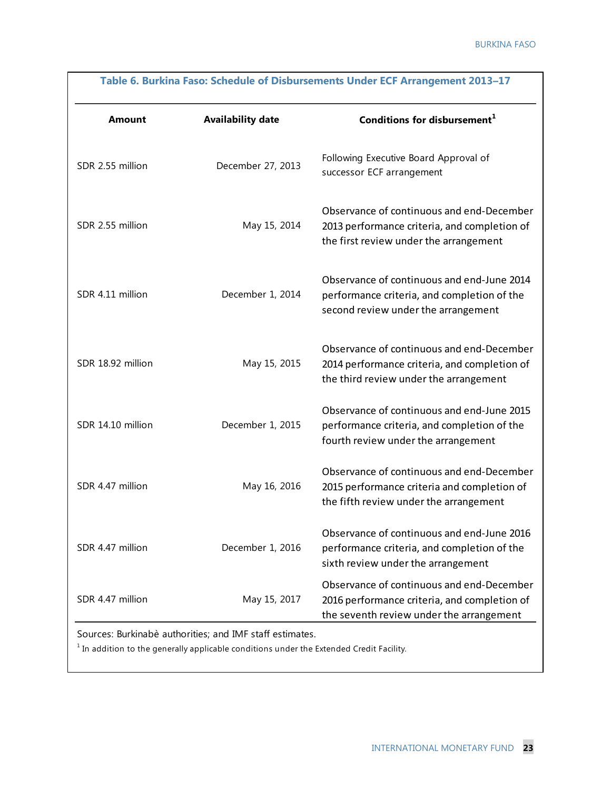|                   |                          | Table 6. Burkina Faso: Schedule of Disbursements Under ECF Arrangement 2013-17                                                        |
|-------------------|--------------------------|---------------------------------------------------------------------------------------------------------------------------------------|
| Amount            | <b>Availability date</b> | Conditions for disbursement $1$                                                                                                       |
| SDR 2.55 million  | December 27, 2013        | Following Executive Board Approval of<br>successor ECF arrangement                                                                    |
| SDR 2.55 million  | May 15, 2014             | Observance of continuous and end-December<br>2013 performance criteria, and completion of<br>the first review under the arrangement   |
| SDR 4.11 million  | December 1, 2014         | Observance of continuous and end-June 2014<br>performance criteria, and completion of the<br>second review under the arrangement      |
| SDR 18.92 million | May 15, 2015             | Observance of continuous and end-December<br>2014 performance criteria, and completion of<br>the third review under the arrangement   |
| SDR 14.10 million | December 1, 2015         | Observance of continuous and end-June 2015<br>performance criteria, and completion of the<br>fourth review under the arrangement      |
| SDR 4.47 million  | May 16, 2016             | Observance of continuous and end-December<br>2015 performance criteria and completion of<br>the fifth review under the arrangement    |
| SDR 4.47 million  | December 1, 2016         | Observance of continuous and end-June 2016<br>performance criteria, and completion of the<br>sixth review under the arrangement       |
| SDR 4.47 million  | May 15, 2017             | Observance of continuous and end-December<br>2016 performance criteria, and completion of<br>the seventh review under the arrangement |

Sources: Burkinabè authorities; and IMF staff estimates.

 $^{\rm 1}$  In addition to the generally applicable conditions under the Extended Credit Facility.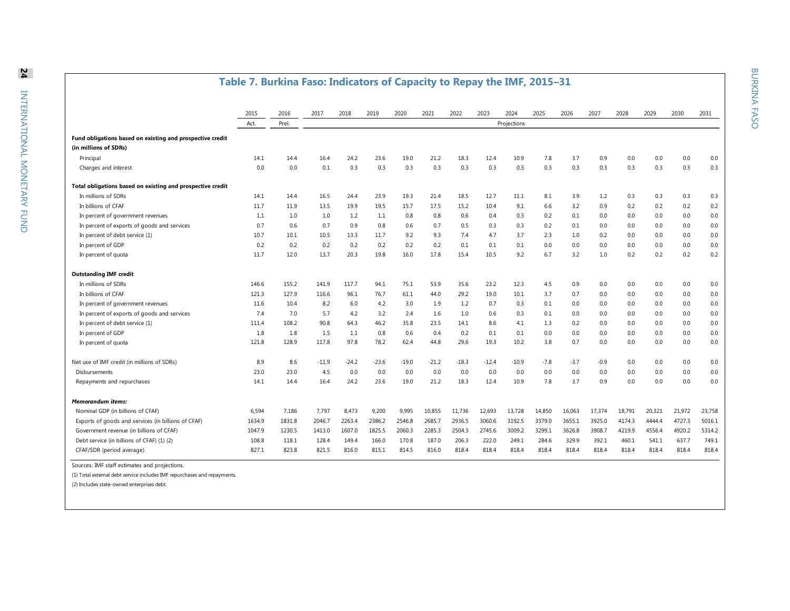#### **Table 7. Burkina Faso: Indicators of Capacity to Repay the IMF, 2015–31** 2015 2016 2017 2018 2019 2020 2021 2022 2023 2024 2025 2026 2027 2028 2029 2030 2031 Act. Prel. **Fund obligations based on existing and prospective credit (in millions of SDRs)** Principal 14.1 14.4 16.4 24.2 23.6 19.0 21.2 18.3 12.4 10.9 7.8 3.7 0.9 0.0 0.0 0.0 0.0 Charges and interest 0.0 0.0 0.1 0.3 0.3 0.3 0.3 0.3 0.3 0.3 0.3 0.3 0.3 0.3 0.3 0.3 0.3 **Total obligations based on existing and prospective credit** In millions of SDRs 14.1 14.4 16.5 24.4 23.9 19.3 21.4 18.5 12.7 11.1 8.1 3.9 1.2 0.3 0.3 0.3 0.3 In billions of CFAF 11.7 11.9 13.5 19.9 19.5 15.7 17.5 15.2 10.4 9.1 6.6 3.2 0.9 0.2 0.2 0.2 0.2 In percent of government revenues 1.1 1.0 1.0 1.0 1.2 1.1 0.8 0.8 0.6 0.4 0.3 0.2 0.1 0.0 0.0 0.0 0.0 0.0 In percent of exports of goods and services 0.7 0.6 0.7 0.9 0.8 0.6 0.7 0.5 0.3 0.3 0.2 0.1 0.0 0.0 0.0 0.0 0.0 In percent of debt service (1) 10.7 10.1 10.5 13.3 11.7 9.2 9.3 7.4 4.7 3.7 2.3 1.0 0.2 0.0 0.0 0.0 0.0 In percent of GDP 0.2 0.2 0.2 0.2 0.2 0.1 0.1 0.0 0.0 0.0 0.0 0.0 0.0 0.0 In percent of quota 11.7 12.0 13.7 20.3 19.8 16.0 17.8 15.4 10.5 9.2 6.7 3.2 1.0 0.2 0.2 0.2 0.2 **Outstanding IMF credit** In millions of SDRs 146.6 155.2 141.9 117.7 94.1 75.1 53.9 35.6 23.2 12.3 4.5 0.9 0.0 0.0 0.0 0.0 0.0 In billions of CFAF 121.3 127.9 121.3 127.9 116.6 96.1 76.7 61.1 44.0 29.2 19.0 10.1 3.7 0.7 0.0 0.0 0.0 0.0 0.0 In percent of government revenues 11.6 10.4 8.2 6.0 4.2 3.0 1.9 1.2 0.7 0.3 0.1 0.0 0.0 0.0 0.0 0.0 0.0 In percent of exports of goods and services **7.4** 7.0 5.7 4.2 3.2 2.4 1.6 1.0 0.6 0.3 0.1 0.0 0.0 0.0 0.0 0.0 0.0 In percent of debt service (1)  $111.4$   $108.2$   $90.8$   $64.3$   $46.2$   $35.8$   $23.5$   $14.1$   $8.6$   $4.1$   $1.3$   $0.2$   $0.0$   $0.0$   $0.0$   $0.0$   $0.0$ In percent of GDP 1.8 1.8 1.5 1.1 0.8 0.6 0.4 0.2 0.1 0.0 0.0 0.0 0.0 0.0 0.0 0.0 In percent of quota 121.8 128.9 117.8 97.8 78.2 62.4 44.8 29.6 19.3 10.2 3.8 0.7 0.0 0.0 0.0 0.0 0.0 Net use of IMF credit (in millions of SDRs) **8.9** 8.6 -11.9 -24.2 -23.6 -19.0 -21.2 -18.3 -12.4 -10.9 -7.8 -3.7 -0.9 0.0 0.0 0.0 0.0 Disbursements 23.0 23.0 4.5 0.0 0.0 0.0 0.0 0.0 0.0 0.0 0.0 0.0 0.0 0.0 0.0 0.0 0.0 Repayments and repurchases 14.1 14.1 14.4 16.4 24.2 23.6 19.0 21.2 18.3 12.4 10.9 7.8 3.7 0.9 0.0 0.0 0.0 0.0 *Memorandum items:* Nominal GDP (in billions of CFAF) 6,594 7,186 7,797 8,473 9,200 9,995 10,855 11,736 12,693 13,728 14,850 16,063 17,374 18,791 20,321 21,972 23,758 Exports of goods and services (in billions of CFAF) 1634.9 1831.8 2046.7 2263.4 2386.2 2546.8 2685.7 2936.5 3060.6 3192.5 3379.0 3655.1 3925.0 4174.3 4444.4 4727.3 5016.1 Government revenue (in billions of CFAF) **1047.9** 1230.5 1413.0 1607.0 1825.5 2060.3 2285.3 2504.3 2745.6 3009.2 3299.1 3626.8 3908.7 4219.9 4556.4 4920.2 5314.2 Debt service (in billions of CFAF) (1) (2) <br>
108.8 118.1 128.4 1460.1 187.0 206.3 222.0 249.1 284.6 329.9 392.1 460.1 541.1 637.7 749.1 CFAF/SDR (period average) 8827.1 823.8 821.5 816.0 815.1 814.5 816.0 818.4 818.4 818.4 818.4 818.4 818.4 818.4 818.4 818.4 818.4 818.4 818.4 818.4 818.4 818.4 818.4 818.4 818.4 818.4 818.4 818.4 818.4 818.4 818.4 818.4 818 Sources: IMF staff estimates and projections. Projections

(1) Total external debt service includes IMF repurchases and repayments.

(2) Includes state-owned enterprises debt.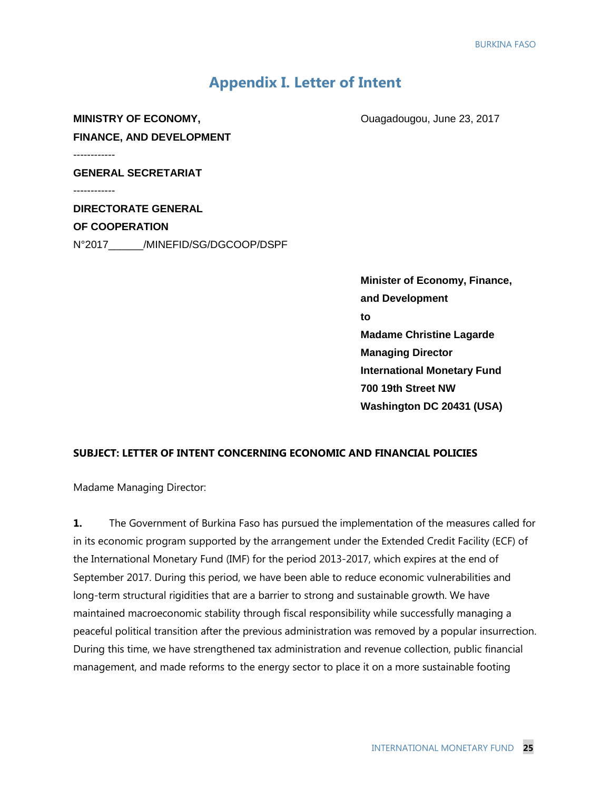# **Appendix I. Letter of Intent**

**MINISTRY OF ECONOMY, CONOMY, CONOMY, CONOMY CONOMY FINANCE, AND DEVELOPMENT** ------------ **GENERAL SECRETARIAT** ------------

**DIRECTORATE GENERAL OF COOPERATION** N°2017\_\_\_\_\_\_/MINEFID/SG/DGCOOP/DSPF

> **Minister of Economy, Finance, and Development to Madame Christine Lagarde Managing Director International Monetary Fund 700 19th Street NW Washington DC 20431 (USA)**

#### **SUBJECT: LETTER OF INTENT CONCERNING ECONOMIC AND FINANCIAL POLICIES**

Madame Managing Director:

**1.** The Government of Burkina Faso has pursued the implementation of the measures called for in its economic program supported by the arrangement under the Extended Credit Facility (ECF) of the International Monetary Fund (IMF) for the period 2013-2017, which expires at the end of September 2017. During this period, we have been able to reduce economic vulnerabilities and long-term structural rigidities that are a barrier to strong and sustainable growth. We have maintained macroeconomic stability through fiscal responsibility while successfully managing a peaceful political transition after the previous administration was removed by a popular insurrection. During this time, we have strengthened tax administration and revenue collection, public financial management, and made reforms to the energy sector to place it on a more sustainable footing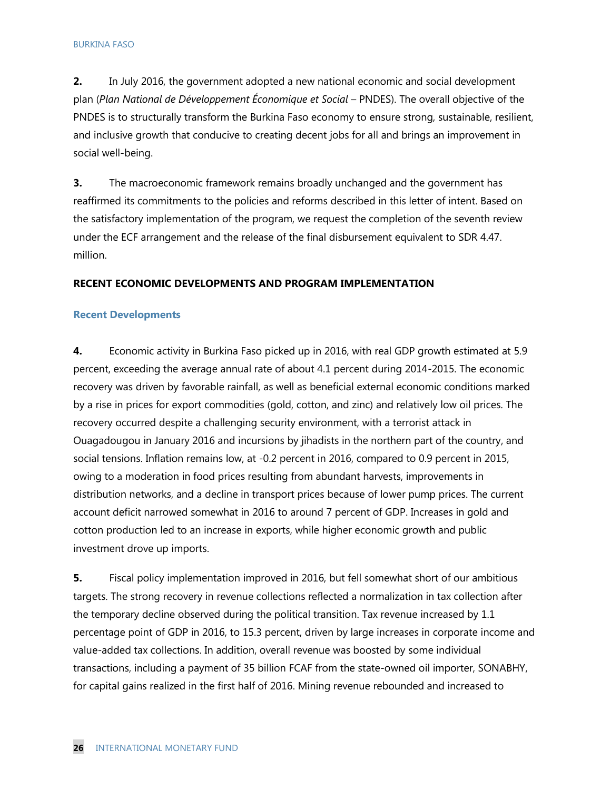**2.** In July 2016, the government adopted a new national economic and social development plan (*Plan National de Développement Économique et Social* – PNDES). The overall objective of the PNDES is to structurally transform the Burkina Faso economy to ensure strong, sustainable, resilient, and inclusive growth that conducive to creating decent jobs for all and brings an improvement in social well-being.

**3.** The macroeconomic framework remains broadly unchanged and the government has reaffirmed its commitments to the policies and reforms described in this letter of intent. Based on the satisfactory implementation of the program, we request the completion of the seventh review under the ECF arrangement and the release of the final disbursement equivalent to SDR 4.47. million.

## **RECENT ECONOMIC DEVELOPMENTS AND PROGRAM IMPLEMENTATION**

#### **Recent Developments**

**4.** Economic activity in Burkina Faso picked up in 2016, with real GDP growth estimated at 5.9 percent, exceeding the average annual rate of about 4.1 percent during 2014-2015. The economic recovery was driven by favorable rainfall, as well as beneficial external economic conditions marked by a rise in prices for export commodities (gold, cotton, and zinc) and relatively low oil prices. The recovery occurred despite a challenging security environment, with a terrorist attack in Ouagadougou in January 2016 and incursions by jihadists in the northern part of the country, and social tensions. Inflation remains low, at -0.2 percent in 2016, compared to 0.9 percent in 2015, owing to a moderation in food prices resulting from abundant harvests, improvements in distribution networks, and a decline in transport prices because of lower pump prices. The current account deficit narrowed somewhat in 2016 to around 7 percent of GDP. Increases in gold and cotton production led to an increase in exports, while higher economic growth and public investment drove up imports.

**5.** Fiscal policy implementation improved in 2016, but fell somewhat short of our ambitious targets. The strong recovery in revenue collections reflected a normalization in tax collection after the temporary decline observed during the political transition. Tax revenue increased by 1.1 percentage point of GDP in 2016, to 15.3 percent, driven by large increases in corporate income and value-added tax collections. In addition, overall revenue was boosted by some individual transactions, including a payment of 35 billion FCAF from the state-owned oil importer, SONABHY, for capital gains realized in the first half of 2016. Mining revenue rebounded and increased to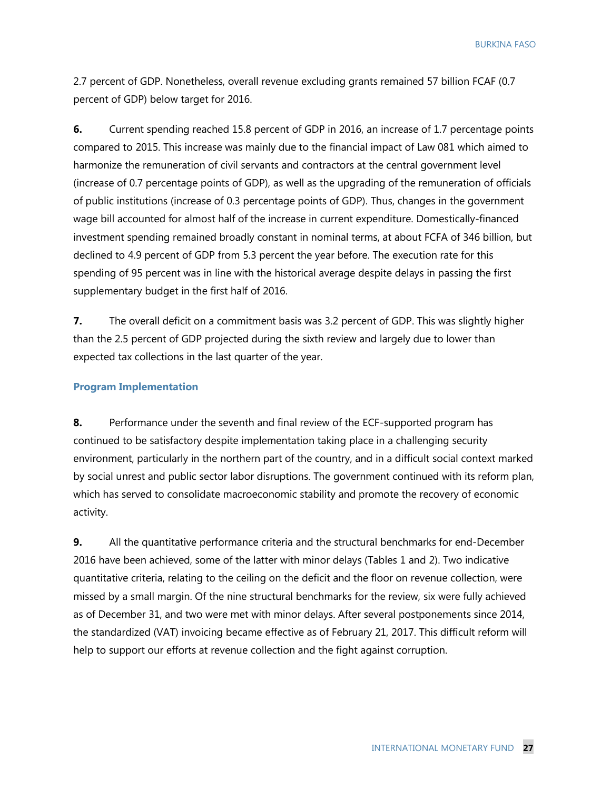2.7 percent of GDP. Nonetheless, overall revenue excluding grants remained 57 billion FCAF (0.7 percent of GDP) below target for 2016.

**6.** Current spending reached 15.8 percent of GDP in 2016, an increase of 1.7 percentage points compared to 2015. This increase was mainly due to the financial impact of Law 081 which aimed to harmonize the remuneration of civil servants and contractors at the central government level (increase of 0.7 percentage points of GDP), as well as the upgrading of the remuneration of officials of public institutions (increase of 0.3 percentage points of GDP). Thus, changes in the government wage bill accounted for almost half of the increase in current expenditure. Domestically-financed investment spending remained broadly constant in nominal terms, at about FCFA of 346 billion, but declined to 4.9 percent of GDP from 5.3 percent the year before. The execution rate for this spending of 95 percent was in line with the historical average despite delays in passing the first supplementary budget in the first half of 2016.

**7.** The overall deficit on a commitment basis was 3.2 percent of GDP. This was slightly higher than the 2.5 percent of GDP projected during the sixth review and largely due to lower than expected tax collections in the last quarter of the year.

#### **Program Implementation**

**8.** Performance under the seventh and final review of the ECF-supported program has continued to be satisfactory despite implementation taking place in a challenging security environment, particularly in the northern part of the country, and in a difficult social context marked by social unrest and public sector labor disruptions. The government continued with its reform plan, which has served to consolidate macroeconomic stability and promote the recovery of economic activity.

**9.** All the quantitative performance criteria and the structural benchmarks for end-December 2016 have been achieved, some of the latter with minor delays (Tables 1 and 2). Two indicative quantitative criteria, relating to the ceiling on the deficit and the floor on revenue collection, were missed by a small margin. Of the nine structural benchmarks for the review, six were fully achieved as of December 31, and two were met with minor delays. After several postponements since 2014, the standardized (VAT) invoicing became effective as of February 21, 2017. This difficult reform will help to support our efforts at revenue collection and the fight against corruption.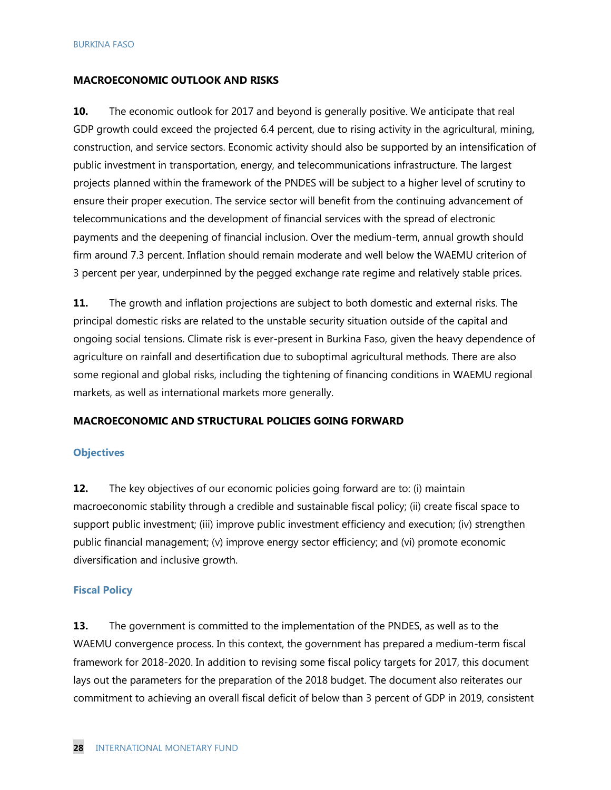#### **MACROECONOMIC OUTLOOK AND RISKS**

**10.** The economic outlook for 2017 and beyond is generally positive. We anticipate that real GDP growth could exceed the projected 6.4 percent, due to rising activity in the agricultural, mining, construction, and service sectors. Economic activity should also be supported by an intensification of public investment in transportation, energy, and telecommunications infrastructure. The largest projects planned within the framework of the PNDES will be subject to a higher level of scrutiny to ensure their proper execution. The service sector will benefit from the continuing advancement of telecommunications and the development of financial services with the spread of electronic payments and the deepening of financial inclusion. Over the medium-term, annual growth should firm around 7.3 percent. Inflation should remain moderate and well below the WAEMU criterion of 3 percent per year, underpinned by the pegged exchange rate regime and relatively stable prices.

**11.** The growth and inflation projections are subject to both domestic and external risks. The principal domestic risks are related to the unstable security situation outside of the capital and ongoing social tensions. Climate risk is ever-present in Burkina Faso, given the heavy dependence of agriculture on rainfall and desertification due to suboptimal agricultural methods. There are also some regional and global risks, including the tightening of financing conditions in WAEMU regional markets, as well as international markets more generally.

#### **MACROECONOMIC AND STRUCTURAL POLICIES GOING FORWARD**

#### **Objectives**

**12.** The key objectives of our economic policies going forward are to: (i) maintain macroeconomic stability through a credible and sustainable fiscal policy; (ii) create fiscal space to support public investment; (iii) improve public investment efficiency and execution; (iv) strengthen public financial management; (v) improve energy sector efficiency; and (vi) promote economic diversification and inclusive growth.

#### **Fiscal Policy**

**13.** The government is committed to the implementation of the PNDES, as well as to the WAEMU convergence process. In this context, the government has prepared a medium-term fiscal framework for 2018-2020. In addition to revising some fiscal policy targets for 2017, this document lays out the parameters for the preparation of the 2018 budget. The document also reiterates our commitment to achieving an overall fiscal deficit of below than 3 percent of GDP in 2019, consistent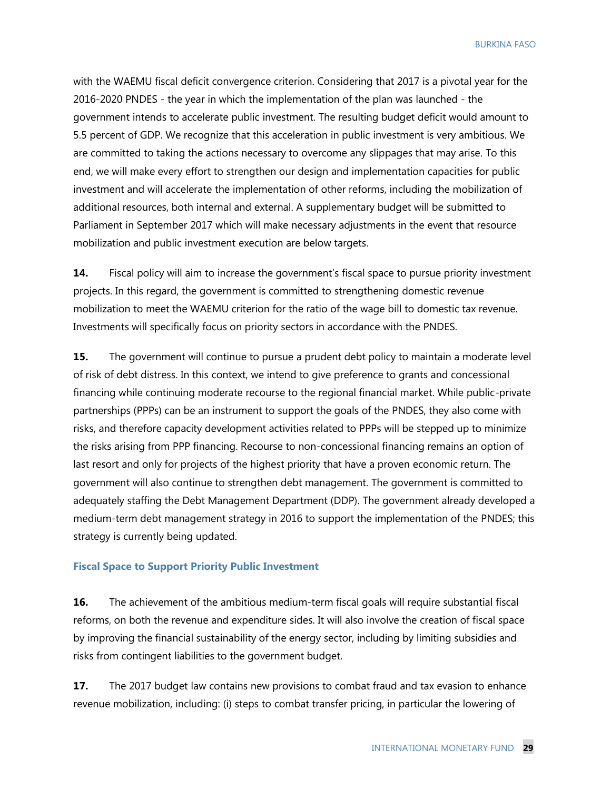with the WAEMU fiscal deficit convergence criterion. Considering that 2017 is a pivotal year for the 2016-2020 PNDES - the year in which the implementation of the plan was launched - the government intends to accelerate public investment. The resulting budget deficit would amount to 5.5 percent of GDP. We recognize that this acceleration in public investment is very ambitious. We are committed to taking the actions necessary to overcome any slippages that may arise. To this end, we will make every effort to strengthen our design and implementation capacities for public investment and will accelerate the implementation of other reforms, including the mobilization of additional resources, both internal and external. A supplementary budget will be submitted to Parliament in September 2017 which will make necessary adjustments in the event that resource mobilization and public investment execution are below targets.

**14.** Fiscal policy will aim to increase the government's fiscal space to pursue priority investment projects. In this regard, the government is committed to strengthening domestic revenue mobilization to meet the WAEMU criterion for the ratio of the wage bill to domestic tax revenue. Investments will specifically focus on priority sectors in accordance with the PNDES.

**15.** The government will continue to pursue a prudent debt policy to maintain a moderate level of risk of debt distress. In this context, we intend to give preference to grants and concessional financing while continuing moderate recourse to the regional financial market. While public-private partnerships (PPPs) can be an instrument to support the goals of the PNDES, they also come with risks, and therefore capacity development activities related to PPPs will be stepped up to minimize the risks arising from PPP financing. Recourse to non-concessional financing remains an option of last resort and only for projects of the highest priority that have a proven economic return. The government will also continue to strengthen debt management. The government is committed to adequately staffing the Debt Management Department (DDP). The government already developed a medium-term debt management strategy in 2016 to support the implementation of the PNDES; this strategy is currently being updated.

#### **Fiscal Space to Support Priority Public Investment**

**16.** The achievement of the ambitious medium-term fiscal goals will require substantial fiscal reforms, on both the revenue and expenditure sides. It will also involve the creation of fiscal space by improving the financial sustainability of the energy sector, including by limiting subsidies and risks from contingent liabilities to the government budget.

**17.** The 2017 budget law contains new provisions to combat fraud and tax evasion to enhance revenue mobilization, including: (i) steps to combat transfer pricing, in particular the lowering of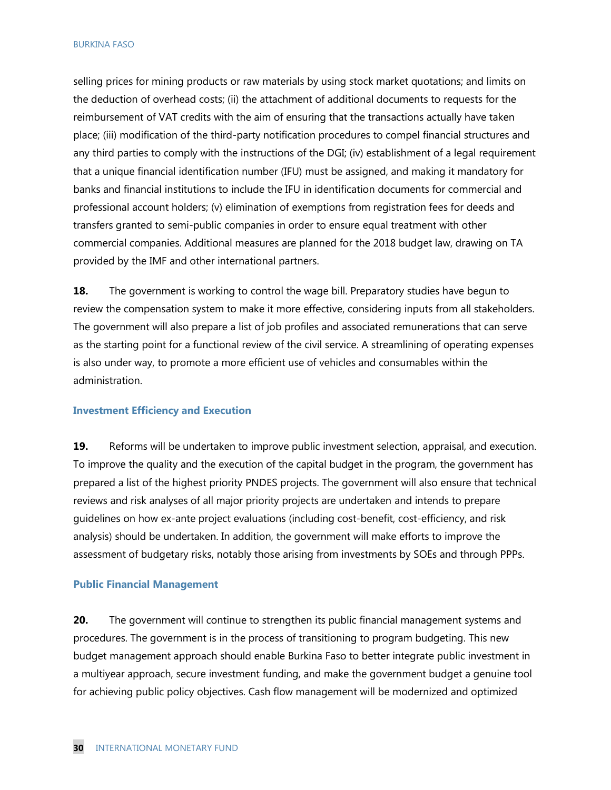selling prices for mining products or raw materials by using stock market quotations; and limits on the deduction of overhead costs; (ii) the attachment of additional documents to requests for the reimbursement of VAT credits with the aim of ensuring that the transactions actually have taken place; (iii) modification of the third-party notification procedures to compel financial structures and any third parties to comply with the instructions of the DGI; (iv) establishment of a legal requirement that a unique financial identification number (IFU) must be assigned, and making it mandatory for banks and financial institutions to include the IFU in identification documents for commercial and professional account holders; (v) elimination of exemptions from registration fees for deeds and transfers granted to semi-public companies in order to ensure equal treatment with other commercial companies. Additional measures are planned for the 2018 budget law, drawing on TA provided by the IMF and other international partners.

**18.** The government is working to control the wage bill. Preparatory studies have begun to review the compensation system to make it more effective, considering inputs from all stakeholders. The government will also prepare a list of job profiles and associated remunerations that can serve as the starting point for a functional review of the civil service. A streamlining of operating expenses is also under way, to promote a more efficient use of vehicles and consumables within the administration.

#### **Investment Efficiency and Execution**

**19.** Reforms will be undertaken to improve public investment selection, appraisal, and execution. To improve the quality and the execution of the capital budget in the program, the government has prepared a list of the highest priority PNDES projects. The government will also ensure that technical reviews and risk analyses of all major priority projects are undertaken and intends to prepare guidelines on how ex-ante project evaluations (including cost-benefit, cost-efficiency, and risk analysis) should be undertaken. In addition, the government will make efforts to improve the assessment of budgetary risks, notably those arising from investments by SOEs and through PPPs.

#### **Public Financial Management**

**20.** The government will continue to strengthen its public financial management systems and procedures. The government is in the process of transitioning to program budgeting. This new budget management approach should enable Burkina Faso to better integrate public investment in a multiyear approach, secure investment funding, and make the government budget a genuine tool for achieving public policy objectives. Cash flow management will be modernized and optimized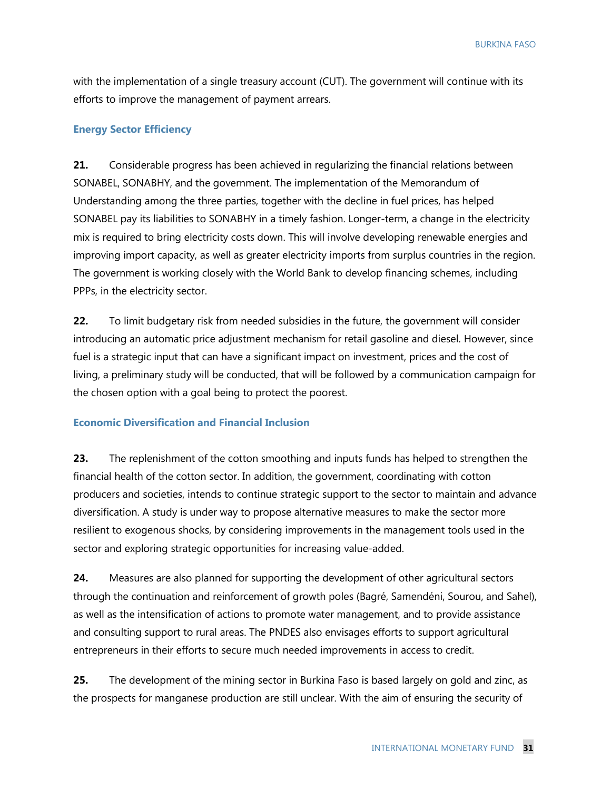with the implementation of a single treasury account (CUT). The government will continue with its efforts to improve the management of payment arrears.

## **Energy Sector Efficiency**

**21.** Considerable progress has been achieved in regularizing the financial relations between SONABEL, SONABHY, and the government. The implementation of the Memorandum of Understanding among the three parties, together with the decline in fuel prices, has helped SONABEL pay its liabilities to SONABHY in a timely fashion. Longer-term, a change in the electricity mix is required to bring electricity costs down. This will involve developing renewable energies and improving import capacity, as well as greater electricity imports from surplus countries in the region. The government is working closely with the World Bank to develop financing schemes, including PPPs, in the electricity sector.

**22.** To limit budgetary risk from needed subsidies in the future, the government will consider introducing an automatic price adjustment mechanism for retail gasoline and diesel. However, since fuel is a strategic input that can have a significant impact on investment, prices and the cost of living, a preliminary study will be conducted, that will be followed by a communication campaign for the chosen option with a goal being to protect the poorest.

#### **Economic Diversification and Financial Inclusion**

**23.** The replenishment of the cotton smoothing and inputs funds has helped to strengthen the financial health of the cotton sector. In addition, the government, coordinating with cotton producers and societies, intends to continue strategic support to the sector to maintain and advance diversification. A study is under way to propose alternative measures to make the sector more resilient to exogenous shocks, by considering improvements in the management tools used in the sector and exploring strategic opportunities for increasing value-added.

**24.** Measures are also planned for supporting the development of other agricultural sectors through the continuation and reinforcement of growth poles (Bagré, Samendéni, Sourou, and Sahel), as well as the intensification of actions to promote water management, and to provide assistance and consulting support to rural areas. The PNDES also envisages efforts to support agricultural entrepreneurs in their efforts to secure much needed improvements in access to credit.

**25.** The development of the mining sector in Burkina Faso is based largely on gold and zinc, as the prospects for manganese production are still unclear. With the aim of ensuring the security of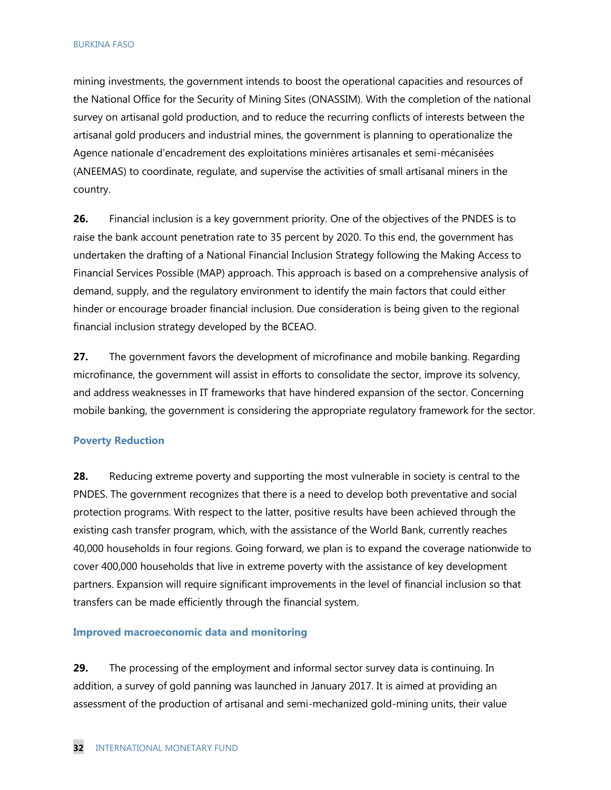mining investments, the government intends to boost the operational capacities and resources of the National Office for the Security of Mining Sites (ONASSIM). With the completion of the national survey on artisanal gold production, and to reduce the recurring conflicts of interests between the artisanal gold producers and industrial mines, the government is planning to operationalize the Agence nationale d'encadrement des exploitations minières artisanales et semi-mécanisées (ANEEMAS) to coordinate, regulate, and supervise the activities of small artisanal miners in the country.

**26.** Financial inclusion is a key government priority. One of the objectives of the PNDES is to raise the bank account penetration rate to 35 percent by 2020. To this end, the government has undertaken the drafting of a National Financial Inclusion Strategy following the Making Access to Financial Services Possible (MAP) approach. This approach is based on a comprehensive analysis of demand, supply, and the regulatory environment to identify the main factors that could either hinder or encourage broader financial inclusion. Due consideration is being given to the regional financial inclusion strategy developed by the BCEAO.

**27.** The government favors the development of microfinance and mobile banking. Regarding microfinance, the government will assist in efforts to consolidate the sector, improve its solvency, and address weaknesses in IT frameworks that have hindered expansion of the sector. Concerning mobile banking, the government is considering the appropriate regulatory framework for the sector.

#### **Poverty Reduction**

**28.** Reducing extreme poverty and supporting the most vulnerable in society is central to the PNDES. The government recognizes that there is a need to develop both preventative and social protection programs. With respect to the latter, positive results have been achieved through the existing cash transfer program, which, with the assistance of the World Bank, currently reaches 40,000 households in four regions. Going forward, we plan is to expand the coverage nationwide to cover 400,000 households that live in extreme poverty with the assistance of key development partners. Expansion will require significant improvements in the level of financial inclusion so that transfers can be made efficiently through the financial system.

#### **Improved macroeconomic data and monitoring**

**29.** The processing of the employment and informal sector survey data is continuing. In addition, a survey of gold panning was launched in January 2017. It is aimed at providing an assessment of the production of artisanal and semi-mechanized gold-mining units, their value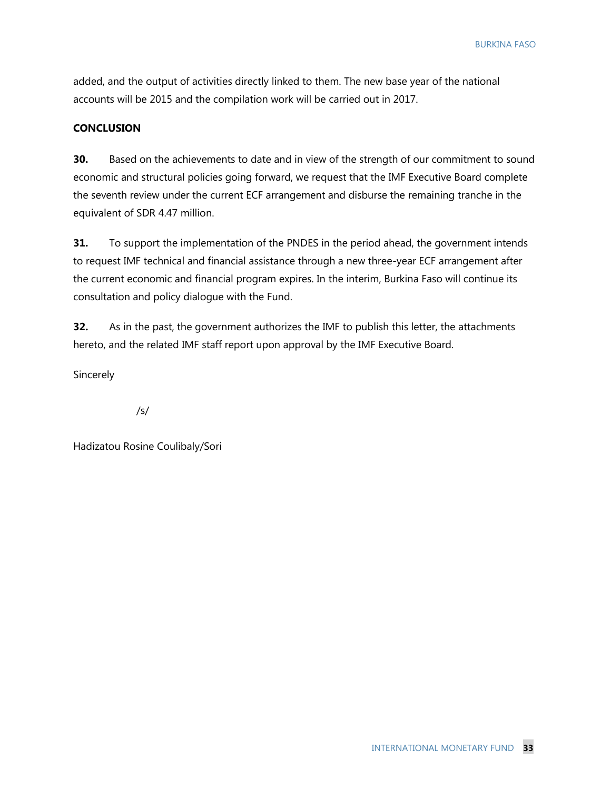added, and the output of activities directly linked to them. The new base year of the national accounts will be 2015 and the compilation work will be carried out in 2017.

## **CONCLUSION**

**30.** Based on the achievements to date and in view of the strength of our commitment to sound economic and structural policies going forward, we request that the IMF Executive Board complete the seventh review under the current ECF arrangement and disburse the remaining tranche in the equivalent of SDR 4.47 million.

**31.** To support the implementation of the PNDES in the period ahead, the government intends to request IMF technical and financial assistance through a new three-year ECF arrangement after the current economic and financial program expires. In the interim, Burkina Faso will continue its consultation and policy dialogue with the Fund.

**32.** As in the past, the government authorizes the IMF to publish this letter, the attachments hereto, and the related IMF staff report upon approval by the IMF Executive Board.

**Sincerely** 

/s/

Hadizatou Rosine Coulibaly/Sori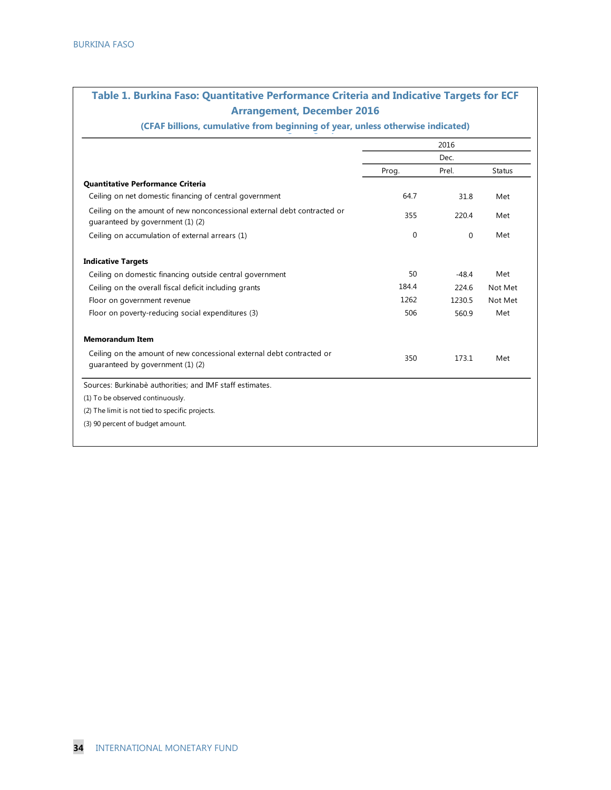# **Table 1. Burkina Faso: Quantitative Performance Criteria and Indicative Targets for ECF Table 1. Burkina Faso: Quantitative Performance Criteria and Indicative Targets for ECF Arrangement, December 2016 Arrangement, December 2016**

**(CFAF billions, cumulative from beginning of year, unless otherwise indicated)** (CFAF billions, cumulative from beginning of year, unless otherwise indicated)

|                                                                                                              | 2016  |         |               |
|--------------------------------------------------------------------------------------------------------------|-------|---------|---------------|
|                                                                                                              |       | Dec.    |               |
|                                                                                                              | Prog. | Prel.   | <b>Status</b> |
| Quantitative Performance Criteria                                                                            |       |         |               |
| Ceiling on net domestic financing of central government                                                      | 64.7  | 31.8    | Met           |
| Ceiling on the amount of new nonconcessional external debt contracted or<br>quaranteed by government (1) (2) | 355   | 220.4   | Met           |
| Ceiling on accumulation of external arrears (1)                                                              | 0     | 0       | Met           |
| <b>Indicative Targets</b>                                                                                    |       |         |               |
| Ceiling on domestic financing outside central government                                                     | 50    | $-48.4$ | Met           |
| Ceiling on the overall fiscal deficit including grants                                                       | 184.4 | 224.6   | Not Met       |
| Floor on government revenue                                                                                  | 1262  | 1230.5  | Not Met       |
| Floor on poverty-reducing social expenditures (3)                                                            | 506   | 560.9   | Met           |
| <b>Memorandum Item</b>                                                                                       |       |         |               |
| Ceiling on the amount of new concessional external debt contracted or<br>quaranteed by government (1) (2)    | 350   | 173.1   | Met           |
| Sources: Burkinabè authorities: and IMF staff estimates.                                                     |       |         |               |
| (1) To be observed continuously.                                                                             |       |         |               |
| (2) The limit is not tied to specific projects.                                                              |       |         |               |
| (3) 90 percent of budget amount.                                                                             |       |         |               |